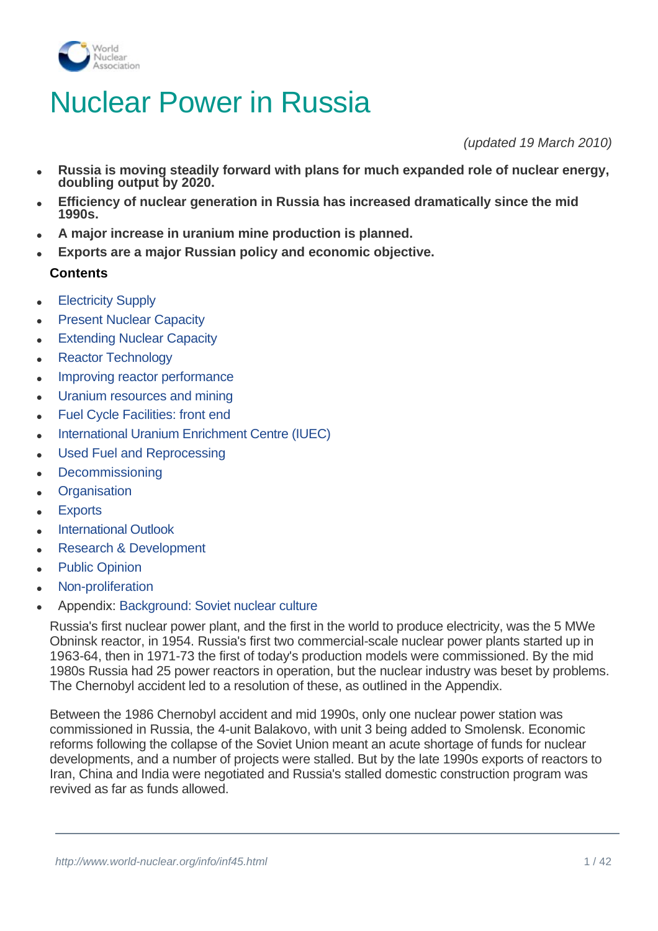

# Nuclear Power in Russia

*(updated 19 March 2010)*

- <sup>l</sup> **Russia is moving steadily forward with plans for much expanded role of nuclear energy, doubling output by 2020.**
- <sup>l</sup> **Efficiency of nuclear generation in Russia has increased dramatically since the mid 1990s.**
- <sup>l</sup> **A major increase in uranium mine production is planned.**
- Exports are a major Russian policy and economic objective.

# **Contents**

- **Electricity Supply**
- **[Present Nuclear Capacity](#page-2-0)**
- **Extending Nuclear Capacity**
- **Reactor Technology**
- Improving reactor performance
- [Uranium resources and mining](#page-21-0)
- Fuel Cycle Facilities: front end
- [International Uranium Enrichment Centre \(IUEC\)](#page-28-0)
- Used Fuel and Reprocessing
- **[Decommissioning](#page-31-0)**
- **Organisation**
- **[Exports](#page-35-0)**
- **International Outlook**
- Research & Development
- **Public Opinion**
- Non-proliferation
- <sup>l</sup> Appendix: [Background: Soviet nuclear culture](#page-40-0)

Russia's first nuclear power plant, and the first in the world to produce electricity, was the 5 MWe Obninsk reactor, in 1954. Russia's first two commercial-scale nuclear power plants started up in 1963-64, then in 1971-73 the first of today's production models were commissioned. By the mid 1980s Russia had 25 power reactors in operation, but the nuclear industry was beset by problems. The Chernobyl accident led to a resolution of these, as outlined in the Appendix.

Between the 1986 Chernobyl accident and mid 1990s, only one nuclear power station was commissioned in Russia, the 4-unit Balakovo, with unit 3 being added to Smolensk. Economic reforms following the collapse of the Soviet Union meant an acute shortage of funds for nuclear developments, and a number of projects were stalled. But by the late 1990s exports of reactors to Iran, China and India were negotiated and Russia's stalled domestic construction program was revived as far as funds allowed.

the delayed units, started up in 2001, joining 21 GWe already on the grid. This greatly boosted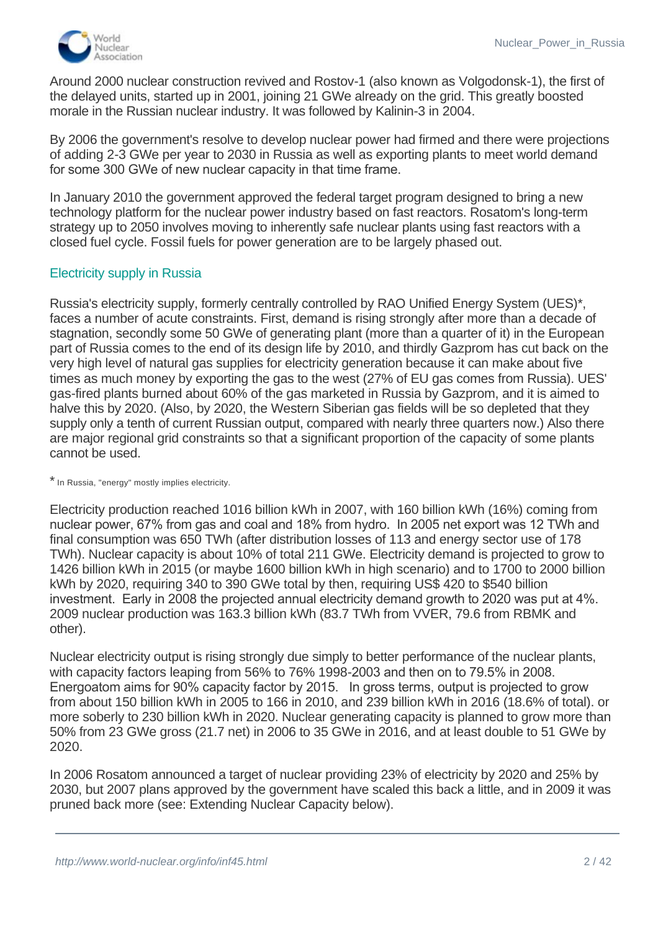

Around 2000 nuclear construction revived and Rostov-1 (also known as Volgodonsk-1), the first of the delayed units, started up in 2001, joining 21 GWe already on the grid. This greatly boosted morale in the Russian nuclear industry. It was followed by Kalinin-3 in 2004.

By 2006 the government's resolve to develop nuclear power had firmed and there were projections of adding 2-3 GWe per year to 2030 in Russia as well as exporting plants to meet world demand for some 300 GWe of new nuclear capacity in that time frame.

In January 2010 the government approved the federal target program designed to bring a new technology platform for the nuclear power industry based on fast reactors. Rosatom's long-term strategy up to 2050 involves moving to inherently safe nuclear plants using fast reactors with a closed fuel cycle. Fossil fuels for power generation are to be largely phased out.

#### Electricity supply in Russia

Russia's electricity supply, formerly centrally controlled by RAO Unified Energy System (UES)\*, faces a number of acute constraints. First, demand is rising strongly after more than a decade of stagnation, secondly some 50 GWe of generating plant (more than a quarter of it) in the European part of Russia comes to the end of its design life by 2010, and thirdly Gazprom has cut back on the very high level of natural gas supplies for electricity generation because it can make about five times as much money by exporting the gas to the west (27% of EU gas comes from Russia). UES' gas-fired plants burned about 60% of the gas marketed in Russia by Gazprom, and it is aimed to halve this by 2020. (Also, by 2020, the Western Siberian gas fields will be so depleted that they supply only a tenth of current Russian output, compared with nearly three quarters now.) Also there are major regional grid constraints so that a significant proportion of the capacity of some plants cannot be used.

\* In Russia, "energy" mostly implies electricity.

Electricity production reached 1016 billion kWh in 2007, with 160 billion kWh (16%) coming from nuclear power, 67% from gas and coal and 18% from hydro. In 2005 net export was 12 TWh and final consumption was 650 TWh (after distribution losses of 113 and energy sector use of 178 TWh). Nuclear capacity is about 10% of total 211 GWe. Electricity demand is projected to grow to 1426 billion kWh in 2015 (or maybe 1600 billion kWh in high scenario) and to 1700 to 2000 billion kWh by 2020, requiring 340 to 390 GWe total by then, requiring US\$ 420 to \$540 billion investment. Early in 2008 the projected annual electricity demand growth to 2020 was put at 4%. 2009 nuclear production was 163.3 billion kWh (83.7 TWh from VVER, 79.6 from RBMK and other).

Nuclear electricity output is rising strongly due simply to better performance of the nuclear plants, with capacity factors leaping from 56% to 76% 1998-2003 and then on to 79.5% in 2008. Energoatom aims for 90% capacity factor by 2015. In gross terms, output is projected to grow from about 150 billion kWh in 2005 to 166 in 2010, and 239 billion kWh in 2016 (18.6% of total). or more soberly to 230 billion kWh in 2020. Nuclear generating capacity is planned to grow more than 50% from 23 GWe gross (21.7 net) in 2006 to 35 GWe in 2016, and at least double to 51 GWe by 2020.

In 2006 Rosatom announced a target of nuclear providing 23% of electricity by 2020 and 25% by 2030, but 2007 plans approved by the government have scaled this back a little, and in 2009 it was pruned back more (see: Extending Nuclear Capacity below).

In parallel with this Russia is greatly increasing its hydro-electric capacity, aiming to increase by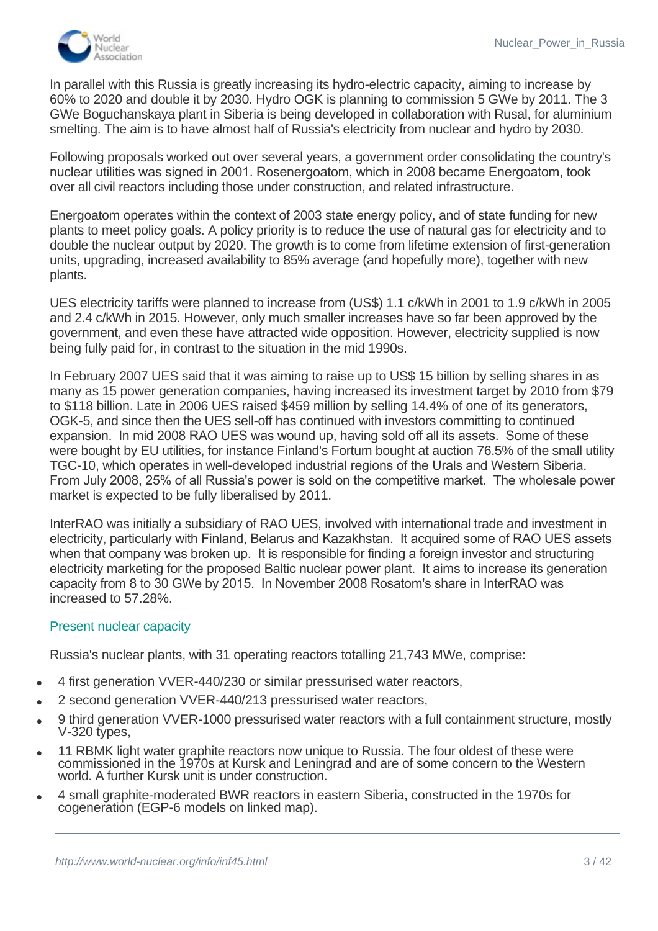

In parallel with this Russia is greatly increasing its hydro-electric capacity, aiming to increase by 60% to 2020 and double it by 2030. Hydro OGK is planning to commission 5 GWe by 2011. The 3 GWe Boguchanskaya plant in Siberia is being developed in collaboration with Rusal, for aluminium smelting. The aim is to have almost half of Russia's electricity from nuclear and hydro by 2030.

Following proposals worked out over several years, a government order consolidating the country's nuclear utilities was signed in 2001. Rosenergoatom, which in 2008 became Energoatom, took over all civil reactors including those under construction, and related infrastructure.

Energoatom operates within the context of 2003 state energy policy, and of state funding for new plants to meet policy goals. A policy priority is to reduce the use of natural gas for electricity and to double the nuclear output by 2020. The growth is to come from lifetime extension of first-generation units, upgrading, increased availability to 85% average (and hopefully more), together with new plants.

UES electricity tariffs were planned to increase from (US\$) 1.1 c/kWh in 2001 to 1.9 c/kWh in 2005 and 2.4 c/kWh in 2015. However, only much smaller increases have so far been approved by the government, and even these have attracted wide opposition. However, electricity supplied is now being fully paid for, in contrast to the situation in the mid 1990s.

In February 2007 UES said that it was aiming to raise up to US\$ 15 billion by selling shares in as many as 15 power generation companies, having increased its investment target by 2010 from \$79 to \$118 billion. Late in 2006 UES raised \$459 million by selling 14.4% of one of its generators, OGK-5, and since then the UES sell-off has continued with investors committing to continued expansion. In mid 2008 RAO UES was wound up, having sold off all its assets. Some of these were bought by EU utilities, for instance Finland's Fortum bought at auction 76.5% of the small utility TGC-10, which operates in well-developed industrial regions of the Urals and Western Siberia. From July 2008, 25% of all Russia's power is sold on the competitive market. The wholesale power market is expected to be fully liberalised by 2011.

InterRAO was initially a subsidiary of RAO UES, involved with international trade and investment in electricity, particularly with Finland, Belarus and Kazakhstan. It acquired some of RAO UES assets when that company was broken up. It is responsible for finding a foreign investor and structuring electricity marketing for the proposed Baltic nuclear power plant. It aims to increase its generation capacity from 8 to 30 GWe by 2015. In November 2008 Rosatom's share in InterRAO was increased to 57.28%.

#### <span id="page-2-0"></span>Present nuclear capacity

Russia's nuclear plants, with 31 operating reactors totalling 21,743 MWe, comprise:

- <sup>l</sup> 4 first generation VVER-440/230 or similar pressurised water reactors,
- 2 second generation VVER-440/213 pressurised water reactors,
- 9 third generation VVER-1000 pressurised water reactors with a full containment structure, mostly V-320 types,
- 11 RBMK light water graphite reactors now unique to Russia. The four oldest of these were commissioned in the 1970s at Kursk and Leningrad and are of some concern to the Western world. A further Kursk unit is under construction.
- <sup>l</sup> 4 small graphite-moderated BWR reactors in eastern Siberia, constructed in the 1970s for cogeneration (EGP-6 models on linked map).

<sup>l</sup> One BN-600 fast-breeder reactor.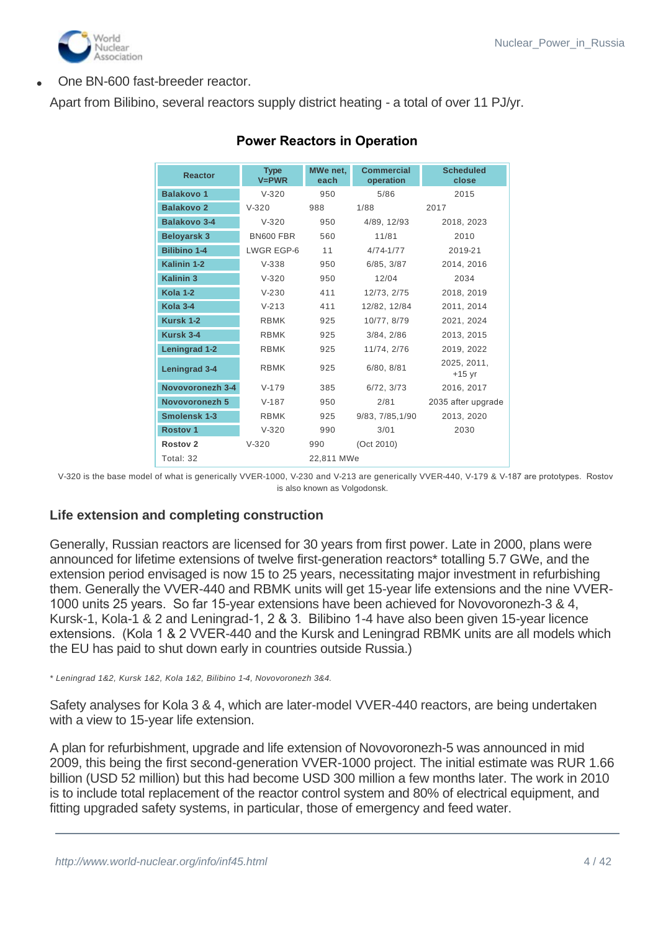

One BN-600 fast-breeder reactor.

Apart from Bilibino, several reactors supply district heating - a total of over 11 PJ/yr.

| <b>Reactor</b>      | <b>Type</b><br>$V = PWR$ | MWe net.<br>each | <b>Commercial</b><br>operation | <b>Scheduled</b><br>close |
|---------------------|--------------------------|------------------|--------------------------------|---------------------------|
| <b>Balakovo 1</b>   | $V-320$                  | 950              | 5/86                           | 2015                      |
| <b>Balakovo 2</b>   | $V-320$                  | 988              | 1/88                           | 2017                      |
| <b>Balakovo 3-4</b> | $V-320$                  | 950              | 4/89, 12/93                    | 2018, 2023                |
| <b>Beloyarsk 3</b>  | BN600 FBR                | 560              | 11/81                          | 2010                      |
| <b>Bilibino 1-4</b> | LWGR EGP-6               | 11               | $4/74 - 1/77$                  | 2019-21                   |
| Kalinin 1-2         | $V-338$                  | 950              | 6/85, 3/87                     | 2014, 2016                |
| <b>Kalinin 3</b>    | $V-320$                  | 950              | 12/04                          | 2034                      |
| Kola 1-2            | $V-230$                  | 411              | 12/73, 2/75                    | 2018, 2019                |
| Kola 3-4            | $V - 213$                | 411              | 12/82, 12/84                   | 2011, 2014                |
| Kursk 1-2           | <b>RBMK</b>              | 925              | 10/77, 8/79                    | 2021, 2024                |
| Kursk 3-4           | <b>RBMK</b>              | 925              | 3/84, 2/86                     | 2013, 2015                |
| Leningrad 1-2       | <b>RBMK</b>              | 925              | 11/74, 2/76                    | 2019, 2022                |
| Leningrad 3-4       | <b>RBMK</b>              | 925              | 6/80, 8/81                     | 2025, 2011,<br>$+15$ yr   |
| Novovoronezh 3-4    | $V-179$                  | 385              | 6/72, 3/73                     | 2016, 2017                |
| Novovoronezh 5      | $V-187$                  | 950              | 2/81                           | 2035 after upgrade        |
| Smolensk 1-3        | <b>RBMK</b>              | 925              | 9/83, 7/85, 1/90               | 2013, 2020                |
| <b>Rostov 1</b>     | $V-320$                  | 990              | 3/01                           | 2030                      |
| <b>Rostov 2</b>     | $V-320$                  | 990              | (Oct 2010)                     |                           |
| Total: 32           |                          | 22,811 MWe       |                                |                           |

# **Power Reactors in Operation**

V-320 is the base model of what is generically VVER-1000, V-230 and V-213 are generically VVER-440, V-179 & V-187 are prototypes. Rostov is also known as Volgodonsk.

# **Life extension and completing construction**

Generally, Russian reactors are licensed for 30 years from first power. Late in 2000, plans were announced for lifetime extensions of twelve first-generation reactors\* totalling 5.7 GWe, and the extension period envisaged is now 15 to 25 years, necessitating major investment in refurbishing them. Generally the VVER-440 and RBMK units will get 15-year life extensions and the nine VVER-1000 units 25 years. So far 15-year extensions have been achieved for Novovoronezh-3 & 4, Kursk-1, Kola-1 & 2 and Leningrad-1, 2 & 3. Bilibino 1-4 have also been given 15-year licence extensions. (Kola 1 & 2 VVER-440 and the Kursk and Leningrad RBMK units are all models which the EU has paid to shut down early in countries outside Russia.)

*\* Leningrad 1&2, Kursk 1&2, Kola 1&2, Bilibino 1-4, Novovoronezh 3&4.*

Safety analyses for Kola 3 & 4, which are later-model VVER-440 reactors, are being undertaken with a view to 15-year life extension.

A plan for refurbishment, upgrade and life extension of Novovoronezh-5 was announced in mid 2009, this being the first second-generation VVER-1000 project. The initial estimate was RUR 1.66 billion (USD 52 million) but this had become USD 300 million a few months later. The work in 2010 is to include total replacement of the reactor control system and 80% of electrical equipment, and fitting upgraded safety systems, in particular, those of emergency and feed water.

In 2006, Rosatom said it was considering lifetime extensions and uprating all of its eleven operating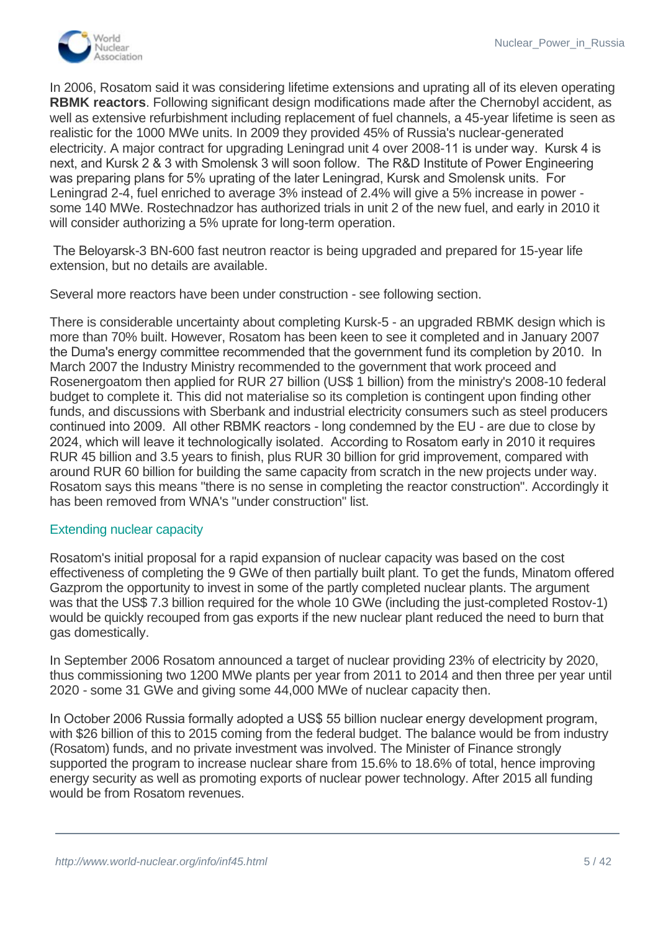

In 2006, Rosatom said it was considering lifetime extensions and uprating all of its eleven operating **RBMK reactors**. Following significant design modifications made after the Chernobyl accident, as well as extensive refurbishment including replacement of fuel channels, a 45-year lifetime is seen as realistic for the 1000 MWe units. In 2009 they provided 45% of Russia's nuclear-generated electricity. A major contract for upgrading Leningrad unit 4 over 2008-11 is under way. Kursk 4 is next, and Kursk 2 & 3 with Smolensk 3 will soon follow. The R&D Institute of Power Engineering was preparing plans for 5% uprating of the later Leningrad, Kursk and Smolensk units. For Leningrad 2-4, fuel enriched to average 3% instead of 2.4% will give a 5% increase in power some 140 MWe. Rostechnadzor has authorized trials in unit 2 of the new fuel, and early in 2010 it will consider authorizing a 5% uprate for long-term operation.

 The Beloyarsk-3 BN-600 fast neutron reactor is being upgraded and prepared for 15-year life extension, but no details are available.

Several more reactors have been under construction - see following section.

There is considerable uncertainty about completing Kursk-5 - an upgraded RBMK design which is more than 70% built. However, Rosatom has been keen to see it completed and in January 2007 the Duma's energy committee recommended that the government fund its completion by 2010. In March 2007 the Industry Ministry recommended to the government that work proceed and Rosenergoatom then applied for RUR 27 billion (US\$ 1 billion) from the ministry's 2008-10 federal budget to complete it. This did not materialise so its completion is contingent upon finding other funds, and discussions with Sberbank and industrial electricity consumers such as steel producers continued into 2009. All other RBMK reactors - long condemned by the EU - are due to close by 2024, which will leave it technologically isolated. According to Rosatom early in 2010 it requires RUR 45 billion and 3.5 years to finish, plus RUR 30 billion for grid improvement, compared with around RUR 60 billion for building the same capacity from scratch in the new projects under way. Rosatom says this means "there is no sense in completing the reactor construction". Accordingly it has been removed from WNA's "under construction" list.

#### Extending nuclear capacity

Rosatom's initial proposal for a rapid expansion of nuclear capacity was based on the cost effectiveness of completing the 9 GWe of then partially built plant. To get the funds, Minatom offered Gazprom the opportunity to invest in some of the partly completed nuclear plants. The argument was that the US\$ 7.3 billion required for the whole 10 GWe (including the just-completed Rostov-1) would be quickly recouped from gas exports if the new nuclear plant reduced the need to burn that gas domestically.

In September 2006 Rosatom announced a target of nuclear providing 23% of electricity by 2020, thus commissioning two 1200 MWe plants per year from 2011 to 2014 and then three per year until 2020 - some 31 GWe and giving some 44,000 MWe of nuclear capacity then.

In October 2006 Russia formally adopted a US\$ 55 billion nuclear energy development program, with \$26 billion of this to 2015 coming from the federal budget. The balance would be from industry (Rosatom) funds, and no private investment was involved. The Minister of Finance strongly supported the program to increase nuclear share from 15.6% to 18.6% of total, hence improving energy security as well as promoting exports of nuclear power technology. After 2015 all funding would be from Rosatom revenues.

power from Balakovo-2, a V-320 unit completed in 1988. Volgodonsk-1, the newest operating V-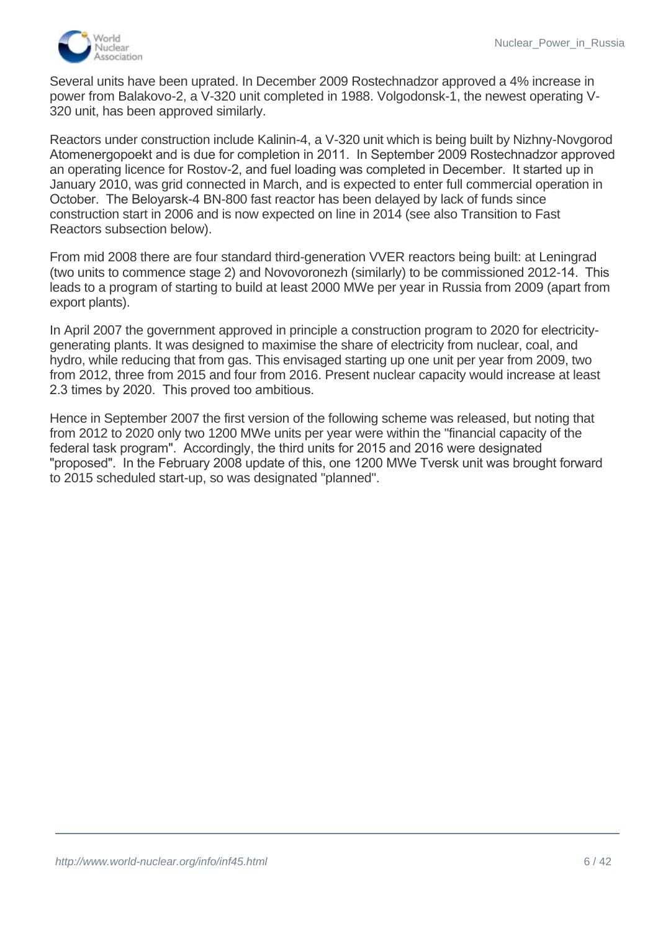

Several units have been uprated. In December 2009 Rostechnadzor approved a 4% increase in power from Balakovo-2, a V-320 unit completed in 1988. Volgodonsk-1, the newest operating V-320 unit, has been approved similarly.

Reactors under construction include Kalinin-4, a V-320 unit which is being built by Nizhny-Novgorod Atomenergopoekt and is due for completion in 2011. In September 2009 Rostechnadzor approved an operating licence for Rostov-2, and fuel loading was completed in December. It started up in January 2010, was grid connected in March, and is expected to enter full commercial operation in October. The Beloyarsk-4 BN-800 fast reactor has been delayed by lack of funds since construction start in 2006 and is now expected on line in 2014 (see also Transition to Fast Reactors subsection below).

From mid 2008 there are four standard third-generation VVER reactors being built: at Leningrad (two units to commence stage 2) and Novovoronezh (similarly) to be commissioned 2012-14. This leads to a program of starting to build at least 2000 MWe per year in Russia from 2009 (apart from export plants).

In April 2007 the government approved in principle a construction program to 2020 for electricitygenerating plants. It was designed to maximise the share of electricity from nuclear, coal, and hydro, while reducing that from gas. This envisaged starting up one unit per year from 2009, two from 2012, three from 2015 and four from 2016. Present nuclear capacity would increase at least 2.3 times by 2020. This proved too ambitious.

Hence in September 2007 the first version of the following scheme was released, but noting that from 2012 to 2020 only two 1200 MWe units per year were within the "financial capacity of the federal task program". Accordingly, the third units for 2015 and 2016 were designated "proposed". In the February 2008 update of this, one 1200 MWe Tversk unit was brought forward to 2015 scheduled start-up, so was designated "planned".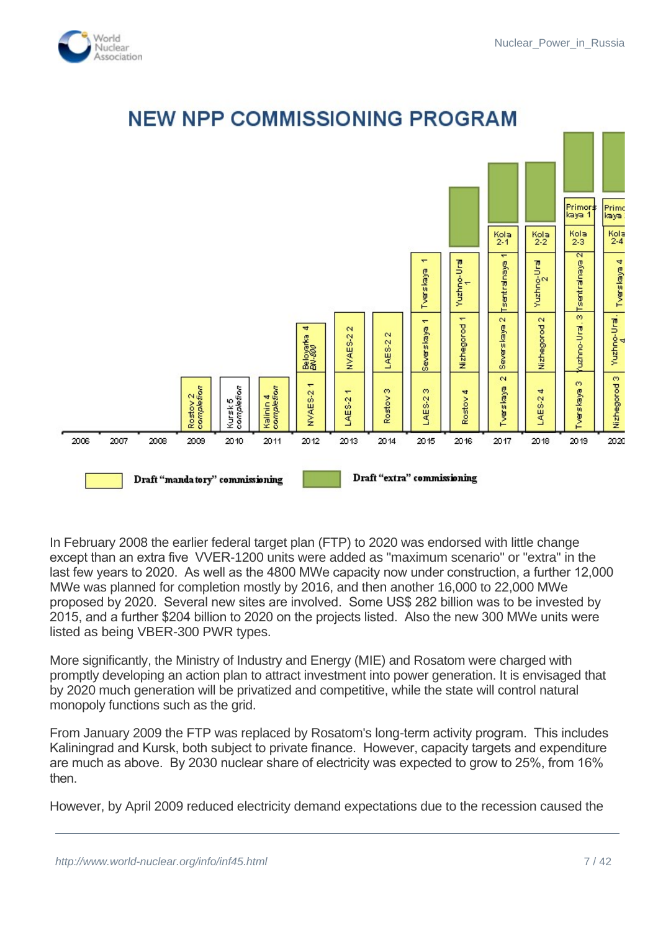



# **NEW NPP COMMISSIONING PROGRAM**

In February 2008 the earlier federal target plan (FTP) to 2020 was endorsed with little change except than an extra five VVER-1200 units were added as "maximum scenario" or "extra" in the last few years to 2020. As well as the 4800 MWe capacity now under construction, a further 12,000 MWe was planned for completion mostly by 2016, and then another 16,000 to 22,000 MWe proposed by 2020. Several new sites are involved. Some US\$ 282 billion was to be invested by 2015, and a further \$204 billion to 2020 on the projects listed. Also the new 300 MWe units were listed as being VBER-300 PWR types.

More significantly, the Ministry of Industry and Energy (MIE) and Rosatom were charged with promptly developing an action plan to attract investment into power generation. It is envisaged that by 2020 much generation will be privatized and competitive, while the state will control natural monopoly functions such as the grid.

From January 2009 the FTP was replaced by Rosatom's long-term activity program. This includes Kaliningrad and Kursk, both subject to private finance. However, capacity targets and expenditure are much as above. By 2030 nuclear share of electricity was expected to grow to 25%, from 16% then.

However, by April 2009 reduced electricity demand expectations due to the recession caused the

units were deferred pending "economic upturn", economic upturn and electricity demand growth "expected in about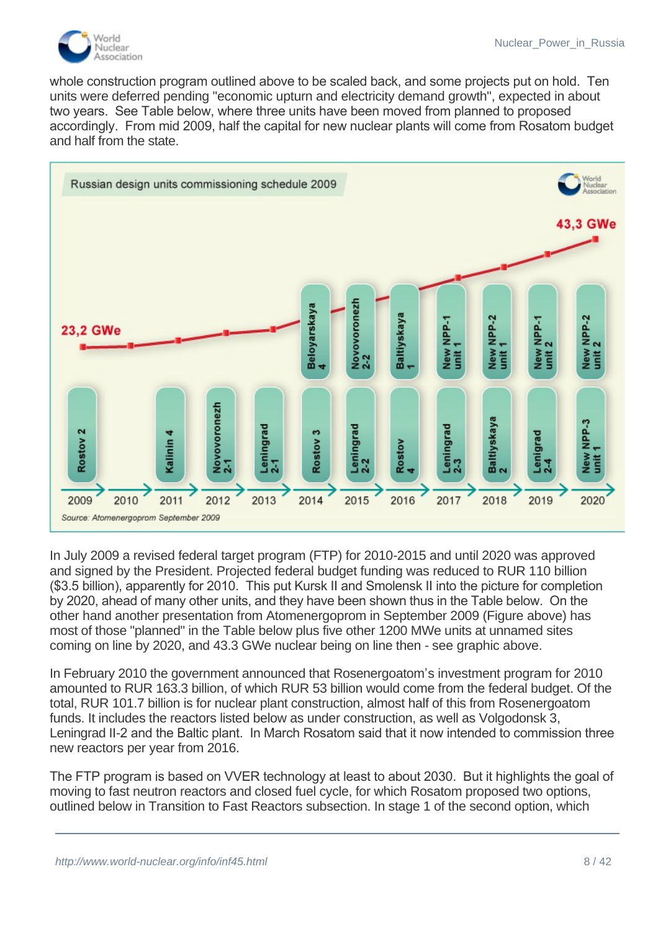

whole construction program outlined above to be scaled back, and some projects put on hold. Ten units were deferred pending "economic upturn and electricity demand growth", expected in about two years. See Table below, where three units have been moved from planned to proposed accordingly. From mid 2009, half the capital for new nuclear plants will come from Rosatom budget and half from the state.



In July 2009 a revised federal target program (FTP) for 2010-2015 and until 2020 was approved and signed by the President. Projected federal budget funding was reduced to RUR 110 billion (\$3.5 billion), apparently for 2010. This put Kursk II and Smolensk II into the picture for completion by 2020, ahead of many other units, and they have been shown thus in the Table below. On the other hand another presentation from Atomenergoprom in September 2009 (Figure above) has most of those "planned" in the Table below plus five other 1200 MWe units at unnamed sites coming on line by 2020, and 43.3 GWe nuclear being on line then - see graphic above.

In February 2010 the government announced that Rosenergoatom's investment program for 2010 amounted to RUR 163.3 billion, of which RUR 53 billion would come from the federal budget. Of the total, RUR 101.7 billion is for nuclear plant construction, almost half of this from Rosenergoatom funds. It includes the reactors listed below as under construction, as well as Volgodonsk 3, Leningrad II-2 and the Baltic plant. In March Rosatom said that it now intended to commission three new reactors per year from 2016.

The FTP program is based on VVER technology at least to about 2030. But it highlights the goal of moving to fast neutron reactors and closed fuel cycle, for which Rosatom proposed two options, outlined below in Transition to Fast Reactors subsection. In stage 1 of the second option, which

2020 a pilot demonstration 300 MWe lead-cooled BREST reactor and a multi-purpose fast neutron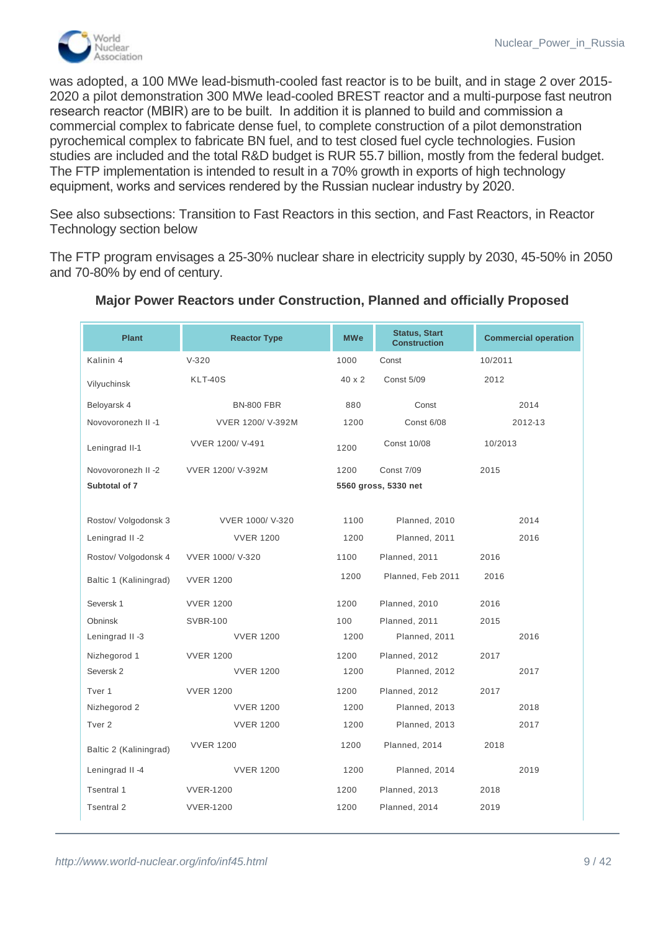

was adopted, a 100 MWe lead-bismuth-cooled fast reactor is to be built, and in stage 2 over 2015- 2020 a pilot demonstration 300 MWe lead-cooled BREST reactor and a multi-purpose fast neutron research reactor (MBIR) are to be built. In addition it is planned to build and commission a commercial complex to fabricate dense fuel, to complete construction of a pilot demonstration pyrochemical complex to fabricate BN fuel, and to test closed fuel cycle technologies. Fusion studies are included and the total R&D budget is RUR 55.7 billion, mostly from the federal budget. The FTP implementation is intended to result in a 70% growth in exports of high technology equipment, works and services rendered by the Russian nuclear industry by 2020.

See also subsections: Transition to Fast Reactors in this section, and Fast Reactors, in Reactor Technology section below

The FTP program envisages a 25-30% nuclear share in electricity supply by 2030, 45-50% in 2050 and 70-80% by end of century.

| <b>Plant</b>           | <b>Reactor Type</b> | <b>MWe</b> | <b>Status, Start</b><br><b>Construction</b> | <b>Commercial operation</b> |
|------------------------|---------------------|------------|---------------------------------------------|-----------------------------|
| Kalinin 4              | $V-320$             | 1000       | Const                                       | 10/2011                     |
| Vilyuchinsk            | <b>KLT-40S</b>      | 40 x 2     | <b>Const 5/09</b>                           | 2012                        |
| Beloyarsk 4            | <b>BN-800 FBR</b>   | 880        | Const                                       | 2014                        |
| Novovoronezh II -1     | VVER 1200/ V-392M   | 1200       | <b>Const 6/08</b>                           | 2012-13                     |
| Leningrad II-1         | VVER 1200/ V-491    | 1200       | <b>Const 10/08</b>                          | 10/2013                     |
| Novovoronezh II -2     | VVER 1200/ V-392M   | 1200       | <b>Const 7/09</b>                           | 2015                        |
| Subtotal of 7          |                     |            | 5560 gross, 5330 net                        |                             |
|                        |                     |            |                                             |                             |
| Rostov/ Volgodonsk 3   | VVER 1000/ V-320    | 1100       | Planned, 2010                               | 2014                        |
| Leningrad II -2        | <b>VVER 1200</b>    | 1200       | Planned, 2011                               | 2016                        |
| Rostov/ Volgodonsk 4   | VVER 1000/ V-320    | 1100       | Planned, 2011                               | 2016                        |
| Baltic 1 (Kaliningrad) | <b>VVER 1200</b>    | 1200       | Planned, Feb 2011                           | 2016                        |
| Seversk 1              | <b>VVER 1200</b>    | 1200       | Planned, 2010                               | 2016                        |
| Obninsk                | <b>SVBR-100</b>     | 100        | Planned, 2011                               | 2015                        |
| Leningrad II -3        | <b>VVER 1200</b>    | 1200       | Planned, 2011                               | 2016                        |
| Nizhegorod 1           | <b>VVER 1200</b>    | 1200       | Planned, 2012                               | 2017                        |
| Seversk 2              | <b>VVER 1200</b>    | 1200       | Planned, 2012                               | 2017                        |
| Tver 1                 | <b>VVER 1200</b>    | 1200       | Planned, 2012                               | 2017                        |
| Nizhegorod 2           | <b>VVER 1200</b>    | 1200       | Planned, 2013                               | 2018                        |
| Tver <sub>2</sub>      | <b>VVER 1200</b>    | 1200       | Planned, 2013                               | 2017                        |
| Baltic 2 (Kaliningrad) | <b>VVER 1200</b>    | 1200       | Planned, 2014                               | 2018                        |
| Leningrad II -4        | <b>VVER 1200</b>    | 1200       | Planned, 2014                               | 2019                        |
| Tsentral 1             | <b>VVER-1200</b>    | 1200       | Planned, 2013                               | 2018                        |
| <b>Tsentral 2</b>      | <b>VVER-1200</b>    | 1200       | Planned, 2014                               | 2019                        |

# **Major Power Reactors under Construction, Planned and officially Proposed**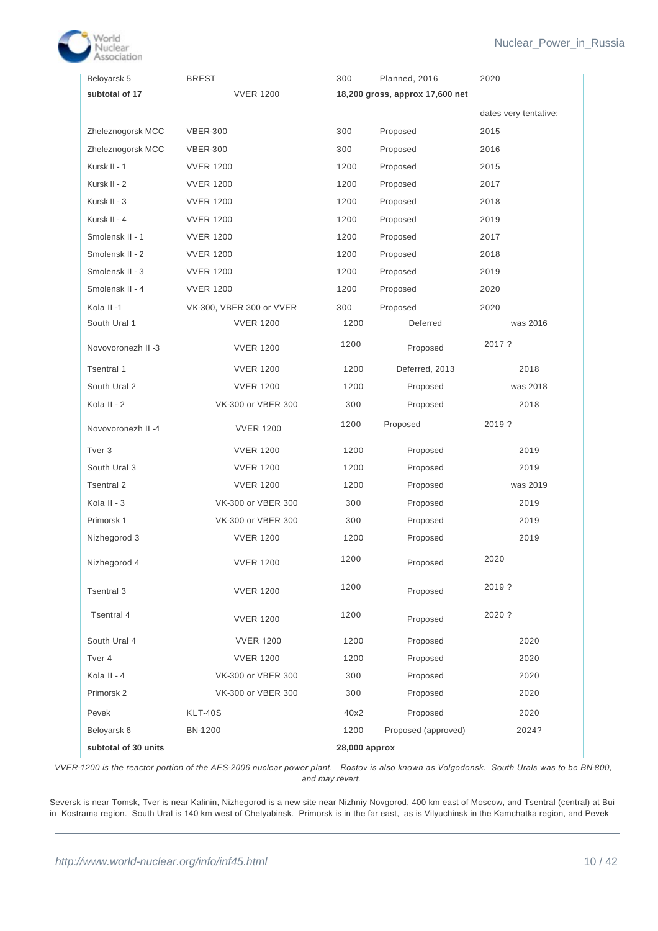

| Beloyarsk 5          | <b>BREST</b>             | 300           | Planned, 2016                   | 2020                  |
|----------------------|--------------------------|---------------|---------------------------------|-----------------------|
| subtotal of 17       | <b>VVER 1200</b>         |               | 18,200 gross, approx 17,600 net |                       |
|                      |                          |               |                                 | dates very tentative: |
| Zheleznogorsk MCC    | <b>VBER-300</b>          | 300           | Proposed                        | 2015                  |
| Zheleznogorsk MCC    | <b>VBER-300</b>          | 300           | Proposed                        | 2016                  |
| Kursk II - 1         | <b>VVER 1200</b>         | 1200          | Proposed                        | 2015                  |
| Kursk II - 2         | <b>VVER 1200</b>         | 1200          | Proposed                        | 2017                  |
| Kursk II - 3         | <b>VVER 1200</b>         | 1200          | Proposed                        | 2018                  |
| Kursk II - 4         | <b>VVER 1200</b>         | 1200          | Proposed                        | 2019                  |
| Smolensk II - 1      | <b>VVER 1200</b>         | 1200          | Proposed                        | 2017                  |
| Smolensk II - 2      | <b>VVER 1200</b>         | 1200          | Proposed                        | 2018                  |
| Smolensk II - 3      | <b>VVER 1200</b>         | 1200          | Proposed                        | 2019                  |
| Smolensk II - 4      | <b>VVER 1200</b>         | 1200          | Proposed                        | 2020                  |
| Kola II-1            | VK-300, VBER 300 or VVER | 300           | Proposed                        | 2020                  |
| South Ural 1         | <b>VVER 1200</b>         | 1200          | Deferred                        | was 2016              |
| Novovoronezh II -3   | <b>VVER 1200</b>         | 1200          | Proposed                        | 2017?                 |
| Tsentral 1           | <b>VVER 1200</b>         | 1200          | Deferred, 2013                  | 2018                  |
| South Ural 2         | <b>VVER 1200</b>         | 1200          | Proposed                        | was 2018              |
| Kola II - 2          | VK-300 or VBER 300       | 300           | Proposed                        | 2018                  |
| Novovoronezh II -4   | <b>VVER 1200</b>         | 1200          | Proposed                        | 2019?                 |
| Tver <sub>3</sub>    | <b>VVER 1200</b>         | 1200          | Proposed                        | 2019                  |
| South Ural 3         | <b>VVER 1200</b>         | 1200          | Proposed                        | 2019                  |
| Tsentral 2           | <b>VVER 1200</b>         | 1200          | Proposed                        | was 2019              |
| Kola II - 3          | VK-300 or VBER 300       | 300           | Proposed                        | 2019                  |
| Primorsk 1           | VK-300 or VBER 300       | 300           | Proposed                        | 2019                  |
| Nizhegorod 3         | <b>VVER 1200</b>         | 1200          | Proposed                        | 2019                  |
| Nizhegorod 4         | <b>VVER 1200</b>         | 1200          | Proposed                        | 2020                  |
| Tsentral 3           | <b>VVER 1200</b>         | 1200          | Proposed                        | 2019?                 |
| Tsentral 4           | <b>VVER 1200</b>         | 1200          | Proposed                        | 2020 ?                |
| South Ural 4         | <b>VVER 1200</b>         | 1200          | Proposed                        | 2020                  |
| Tver 4               | <b>VVER 1200</b>         | 1200          | Proposed                        | 2020                  |
| Kola II - 4          | VK-300 or VBER 300       | 300           | Proposed                        | 2020                  |
| Primorsk 2           | VK-300 or VBER 300       | 300           | Proposed                        | 2020                  |
| Pevek                | KLT-40S                  | 40x2          | Proposed                        | 2020                  |
| Beloyarsk 6          | BN-1200                  | 1200          | Proposed (approved)             | 2024?                 |
| subtotal of 30 units |                          | 28,000 approx |                                 |                       |

*VVER-1200 is the reactor portion of the AES-2006 nuclear power plant. Rostov is also known as Volgodonsk. South Urals was to be BN-800, and may revert.*

Seversk is near Tomsk, Tver is near Kalinin, Nizhegorod is a new site near Nizhniy Novgorod, 400 km east of Moscow, and Tsentral (central) at Bui in Kostrama region. South Ural is 140 km west of Chelyabinsk. Primorsk is in the far east, as is Vilyuchinsk in the Kamchatka region, and Pevek

plants.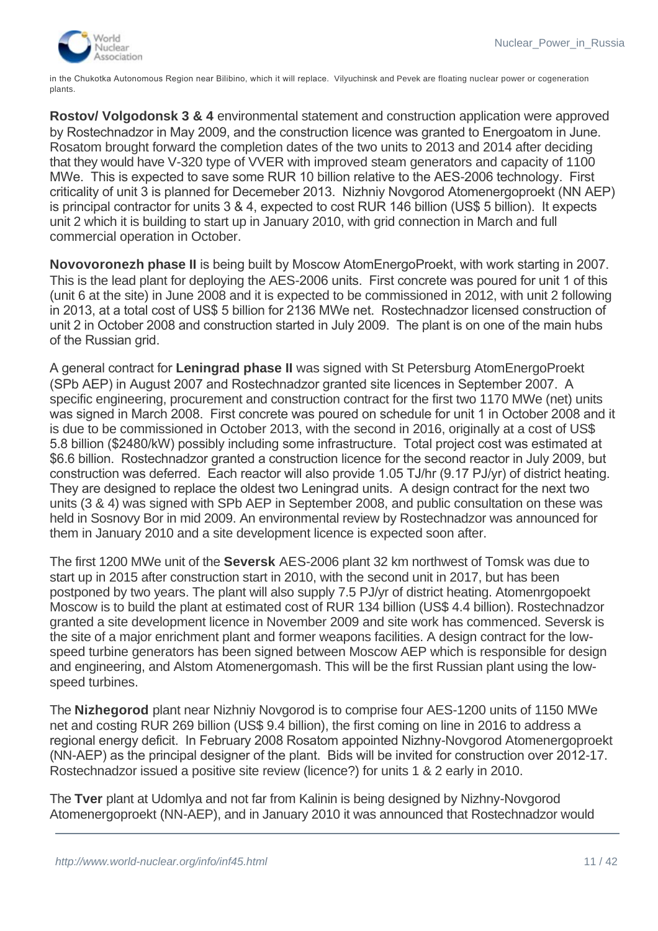

in the Chukotka Autonomous Region near Bilibino, which it will replace. Vilyuchinsk and Pevek are floating nuclear power or cogeneration plants.

**Rostov/ Volgodonsk 3 & 4** environmental statement and construction application were approved by Rostechnadzor in May 2009, and the construction licence was granted to Energoatom in June. Rosatom brought forward the completion dates of the two units to 2013 and 2014 after deciding that they would have V-320 type of VVER with improved steam generators and capacity of 1100 MWe. This is expected to save some RUR 10 billion relative to the AES-2006 technology. First criticality of unit 3 is planned for Decemeber 2013. Nizhniy Novgorod Atomenergoproekt (NN AEP) is principal contractor for units 3 & 4, expected to cost RUR 146 billion (US\$ 5 billion). It expects unit 2 which it is building to start up in January 2010, with grid connection in March and full commercial operation in October.

**Novovoronezh phase II** is being built by Moscow AtomEnergoProekt, with work starting in 2007. This is the lead plant for deploying the AES-2006 units. First concrete was poured for unit 1 of this (unit 6 at the site) in June 2008 and it is expected to be commissioned in 2012, with unit 2 following in 2013, at a total cost of US\$ 5 billion for 2136 MWe net. Rostechnadzor licensed construction of unit 2 in October 2008 and construction started in July 2009. The plant is on one of the main hubs of the Russian grid.

A general contract for **Leningrad phase II** was signed with St Petersburg AtomEnergoProekt (SPb AEP) in August 2007 and Rostechnadzor granted site licences in September 2007. A specific engineering, procurement and construction contract for the first two 1170 MWe (net) units was signed in March 2008. First concrete was poured on schedule for unit 1 in October 2008 and it is due to be commissioned in October 2013, with the second in 2016, originally at a cost of US\$ 5.8 billion (\$2480/kW) possibly including some infrastructure. Total project cost was estimated at \$6.6 billion. Rostechnadzor granted a construction licence for the second reactor in July 2009, but construction was deferred. Each reactor will also provide 1.05 TJ/hr (9.17 PJ/yr) of district heating. They are designed to replace the oldest two Leningrad units. A design contract for the next two units (3 & 4) was signed with SPb AEP in September 2008, and public consultation on these was held in Sosnovy Bor in mid 2009. An environmental review by Rostechnadzor was announced for them in January 2010 and a site development licence is expected soon after.

The first 1200 MWe unit of the **Seversk** AES-2006 plant 32 km northwest of Tomsk was due to start up in 2015 after construction start in 2010, with the second unit in 2017, but has been postponed by two years. The plant will also supply 7.5 PJ/yr of district heating. Atomenrgopoekt Moscow is to build the plant at estimated cost of RUR 134 billion (US\$ 4.4 billion). Rostechnadzor granted a site development licence in November 2009 and site work has commenced. Seversk is the site of a major enrichment plant and former weapons facilities. A design contract for the lowspeed turbine generators has been signed between Moscow AEP which is responsible for design and engineering, and Alstom Atomenergomash. This will be the first Russian plant using the lowspeed turbines.

The **Nizhegorod** plant near Nizhniy Novgorod is to comprise four AES-1200 units of 1150 MWe net and costing RUR 269 billion (US\$ 9.4 billion), the first coming on line in 2016 to address a regional energy deficit. In February 2008 Rosatom appointed Nizhny-Novgorod Atomenergoproekt (NN-AEP) as the principal designer of the plant. Bids will be invited for construction over 2012-17. Rostechnadzor issued a positive site review (licence?) for units 1 & 2 early in 2010.

The **Tver** plant at Udomlya and not far from Kalinin is being designed by Nizhny-Novgorod Atomenergoproekt (NN-AEP), and in January 2010 it was announced that Rostechnadzor would

conduct an environmental review of it for the first two VVER-1200 units, these being on the general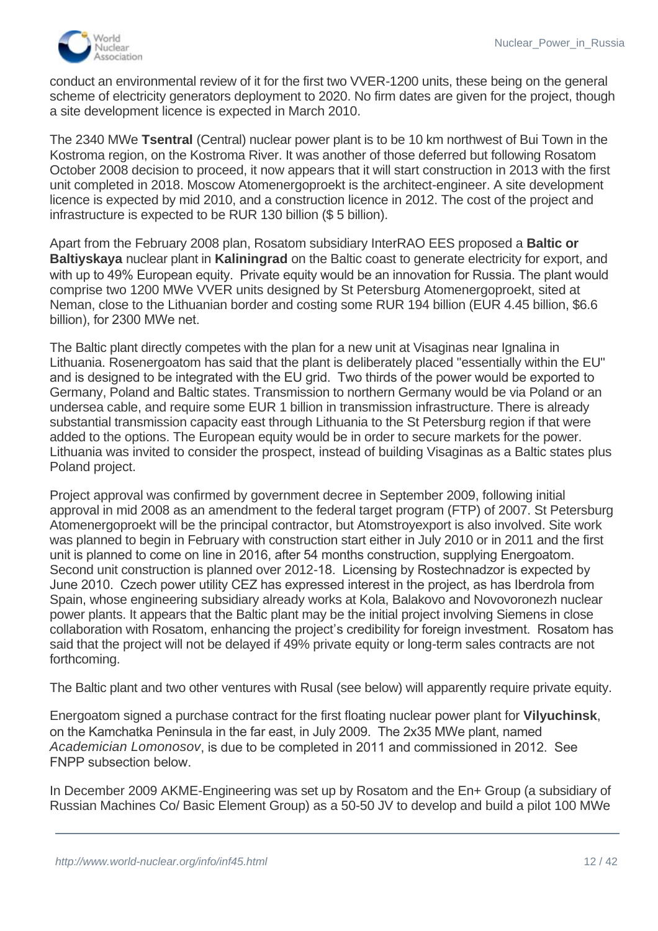

conduct an environmental review of it for the first two VVER-1200 units, these being on the general scheme of electricity generators deployment to 2020. No firm dates are given for the project, though a site development licence is expected in March 2010.

The 2340 MWe **Tsentral** (Central) nuclear power plant is to be 10 km northwest of Bui Town in the Kostroma region, on the Kostroma River. It was another of those deferred but following Rosatom October 2008 decision to proceed, it now appears that it will start construction in 2013 with the first unit completed in 2018. Moscow Atomenergoproekt is the architect-engineer. A site development licence is expected by mid 2010, and a construction licence in 2012. The cost of the project and infrastructure is expected to be RUR 130 billion (\$ 5 billion).

Apart from the February 2008 plan, Rosatom subsidiary InterRAO EES proposed a **Baltic or Baltiyskaya** nuclear plant in **Kaliningrad** on the Baltic coast to generate electricity for export, and with up to 49% European equity. Private equity would be an innovation for Russia. The plant would comprise two 1200 MWe VVER units designed by St Petersburg Atomenergoproekt, sited at Neman, close to the Lithuanian border and costing some RUR 194 billion (EUR 4.45 billion, \$6.6 billion), for 2300 MWe net.

The Baltic plant directly competes with the plan for a new unit at Visaginas near Ignalina in Lithuania. Rosenergoatom has said that the plant is deliberately placed "essentially within the EU" and is designed to be integrated with the EU grid. Two thirds of the power would be exported to Germany, Poland and Baltic states. Transmission to northern Germany would be via Poland or an undersea cable, and require some EUR 1 billion in transmission infrastructure. There is already substantial transmission capacity east through Lithuania to the St Petersburg region if that were added to the options. The European equity would be in order to secure markets for the power. Lithuania was invited to consider the prospect, instead of building Visaginas as a Baltic states plus Poland project.

Project approval was confirmed by government decree in September 2009, following initial approval in mid 2008 as an amendment to the federal target program (FTP) of 2007. St Petersburg Atomenergoproekt will be the principal contractor, but Atomstroyexport is also involved. Site work was planned to begin in February with construction start either in July 2010 or in 2011 and the first unit is planned to come on line in 2016, after 54 months construction, supplying Energoatom. Second unit construction is planned over 2012-18. Licensing by Rostechnadzor is expected by June 2010. Czech power utility CEZ has expressed interest in the project, as has Iberdrola from Spain, whose engineering subsidiary already works at Kola, Balakovo and Novovoronezh nuclear power plants. It appears that the Baltic plant may be the initial project involving Siemens in close collaboration with Rosatom, enhancing the project's credibility for foreign investment. Rosatom has said that the project will not be delayed if 49% private equity or long-term sales contracts are not forthcoming.

The Baltic plant and two other ventures with Rusal (see below) will apparently require private equity.

Energoatom signed a purchase contract for the first floating nuclear power plant for **Vilyuchinsk**, on the Kamchatka Peninsula in the far east, in July 2009. The 2x35 MWe plant, named *Academician Lomonosov*, is due to be completed in 2011 and commissioned in 2012. See FNPP subsection below.

In December 2009 AKME-Engineering was set up by Rosatom and the En+ Group (a subsidiary of Russian Machines Co/ Basic Element Group) as a 50-50 JV to develop and build a pilot 100 MWe

EuroSibEnergo and a 53.8% owner of Rusal, which has been in discussion with Rosatom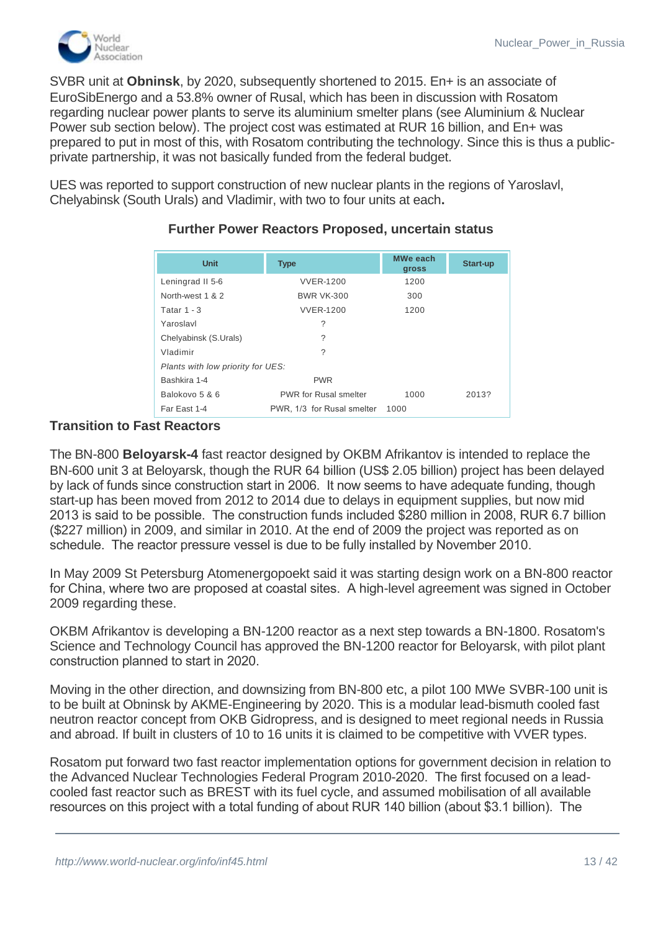

SVBR unit at **Obninsk**, by 2020, subsequently shortened to 2015. En+ is an associate of EuroSibEnergo and a 53.8% owner of Rusal, which has been in discussion with Rosatom regarding nuclear power plants to serve its aluminium smelter plans (see Aluminium & Nuclear Power sub section below). The project cost was estimated at RUR 16 billion, and En+ was prepared to put in most of this, with Rosatom contributing the technology. Since this is thus a publicprivate partnership, it was not basically funded from the federal budget.

UES was reported to support construction of new nuclear plants in the regions of Yaroslavl, Chelyabinsk (South Urals) and Vladimir, with two to four units at each**.**

| <b>Unit</b>                       | <b>Type</b>                  | MWe each<br>gross | Start-up |  |
|-----------------------------------|------------------------------|-------------------|----------|--|
| Leningrad II 5-6                  | <b>VVER-1200</b>             | 1200              |          |  |
| North-west 1 & 2                  | <b>BWR VK-300</b>            | 300               |          |  |
| Tatar $1 - 3$                     | <b>VVER-1200</b>             | 1200              |          |  |
| Yaroslavl                         | ?                            |                   |          |  |
| Chelyabinsk (S.Urals)             | ?                            |                   |          |  |
| Vladimir                          | ?                            |                   |          |  |
| Plants with low priority for UES: |                              |                   |          |  |
| Bashkira 1-4                      | <b>PWR</b>                   |                   |          |  |
| Balokovo 5 & 6                    | <b>PWR</b> for Rusal smelter | 1000              | 2013?    |  |
| Far East 1-4                      | PWR, 1/3 for Rusal smelter   | 1000              |          |  |

# **Further Power Reactors Proposed, uncertain status**

# **Transition to Fast Reactors**

The BN-800 **Beloyarsk-4** fast reactor designed by OKBM Afrikantov is intended to replace the BN-600 unit 3 at Beloyarsk, though the RUR 64 billion (US\$ 2.05 billion) project has been delayed by lack of funds since construction start in 2006. It now seems to have adequate funding, though start-up has been moved from 2012 to 2014 due to delays in equipment supplies, but now mid 2013 is said to be possible. The construction funds included \$280 million in 2008, RUR 6.7 billion (\$227 million) in 2009, and similar in 2010. At the end of 2009 the project was reported as on schedule. The reactor pressure vessel is due to be fully installed by November 2010.

In May 2009 St Petersburg Atomenergopoekt said it was starting design work on a BN-800 reactor for China, where two are proposed at coastal sites. A high-level agreement was signed in October 2009 regarding these.

OKBM Afrikantov is developing a BN-1200 reactor as a next step towards a BN-1800. Rosatom's Science and Technology Council has approved the BN-1200 reactor for Beloyarsk, with pilot plant construction planned to start in 2020.

Moving in the other direction, and downsizing from BN-800 etc, a pilot 100 MWe SVBR-100 unit is to be built at Obninsk by AKME-Engineering by 2020. This is a modular lead-bismuth cooled fast neutron reactor concept from OKB Gidropress, and is designed to meet regional needs in Russia and abroad. If built in clusters of 10 to 16 units it is claimed to be competitive with VVER types.

Rosatom put forward two fast reactor implementation options for government decision in relation to the Advanced Nuclear Technologies Federal Program 2010-2020. The first focused on a leadcooled fast reactor such as BREST with its fuel cycle, and assumed mobilisation of all available resources on this project with a total funding of about RUR 140 billion (about \$3.1 billion). The

technical designs of the Generation IV reactor and associated closed fuel cycles technologies by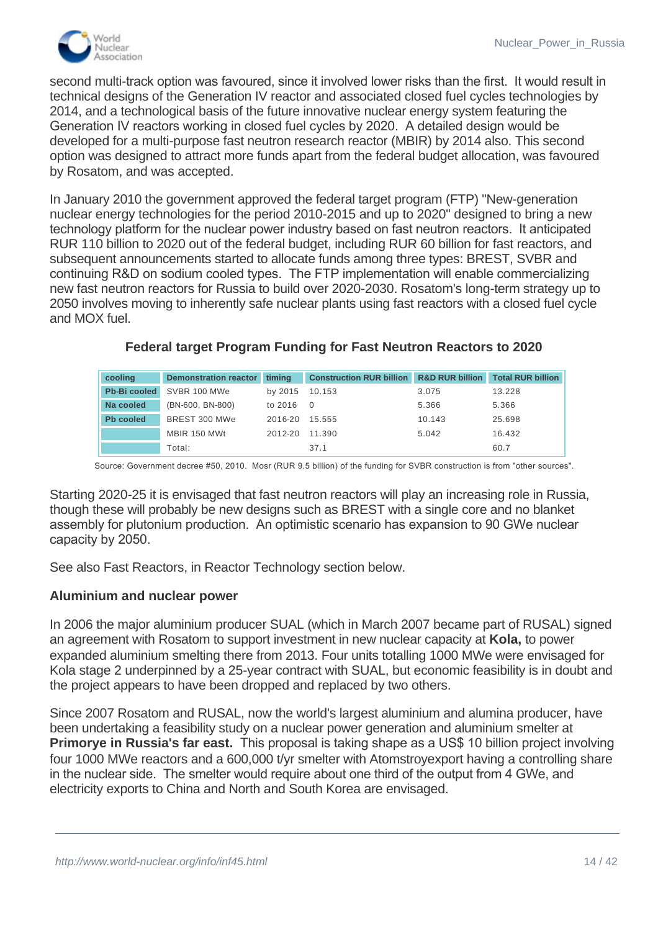

second multi-track option was favoured, since it involved lower risks than the first. It would result in technical designs of the Generation IV reactor and associated closed fuel cycles technologies by 2014, and a technological basis of the future innovative nuclear energy system featuring the Generation IV reactors working in closed fuel cycles by 2020. A detailed design would be developed for a multi-purpose fast neutron research reactor (MBIR) by 2014 also. This second option was designed to attract more funds apart from the federal budget allocation, was favoured by Rosatom, and was accepted.

In January 2010 the government approved the federal target program (FTP) "New-generation nuclear energy technologies for the period 2010-2015 and up to 2020" designed to bring a new technology platform for the nuclear power industry based on fast neutron reactors. It anticipated RUR 110 billion to 2020 out of the federal budget, including RUR 60 billion for fast reactors, and subsequent announcements started to allocate funds among three types: BREST, SVBR and continuing R&D on sodium cooled types. The FTP implementation will enable commercializing new fast neutron reactors for Russia to build over 2020-2030. Rosatom's long-term strategy up to 2050 involves moving to inherently safe nuclear plants using fast reactors with a closed fuel cycle and MOX fuel.

| cooling             | <b>Demonstration reactor</b> | timina  | <b>Construction RUR billion</b> | <b>R&amp;D RUR billion</b> | <b>Total RUR billion</b> |
|---------------------|------------------------------|---------|---------------------------------|----------------------------|--------------------------|
| <b>Pb-Bi cooled</b> | SVBR 100 MWe                 | by 2015 | 10.153                          | 3.075                      | 13.228                   |
| Na cooled           | (BN-600, BN-800)             | to 2016 | $\overline{0}$                  | 5.366                      | 5.366                    |
| <b>Pb</b> cooled    | BREST 300 MWe                | 2016-20 | 15.555                          | 10.143                     | 25.698                   |
|                     | MBIR 150 MWt                 | 2012-20 | 11.390                          | 5.042                      | 16.432                   |
|                     | Total:                       |         | 37.1                            |                            | 60.7                     |

# **Federal target Program Funding for Fast Neutron Reactors to 2020**

Source: Government decree #50, 2010. Mosr (RUR 9.5 billion) of the funding for SVBR construction is from "other sources".

Starting 2020-25 it is envisaged that fast neutron reactors will play an increasing role in Russia, though these will probably be new designs such as BREST with a single core and no blanket assembly for plutonium production. An optimistic scenario has expansion to 90 GWe nuclear capacity by 2050.

See also Fast Reactors, in Reactor Technology section below.

#### **Aluminium and nuclear power**

In 2006 the major aluminium producer SUAL (which in March 2007 became part of RUSAL) signed an agreement with Rosatom to support investment in new nuclear capacity at **Kola,** to power expanded aluminium smelting there from 2013. Four units totalling 1000 MWe were envisaged for Kola stage 2 underpinned by a 25-year contract with SUAL, but economic feasibility is in doubt and the project appears to have been dropped and replaced by two others.

Since 2007 Rosatom and RUSAL, now the world's largest aluminium and alumina producer, have been undertaking a feasibility study on a nuclear power generation and aluminium smelter at **Primorye in Russia's far east.** This proposal is taking shape as a US\$ 10 billion project involving four 1000 MWe reactors and a 600,000 t/yr smelter with Atomstroyexport having a controlling share in the nuclear side. The smelter would require about one third of the output from 4 GWe, and electricity exports to China and North and South Korea are envisaged.

**Balakovo** in the Saratov region, complete with two new nuclear reactors to power it. The 1.05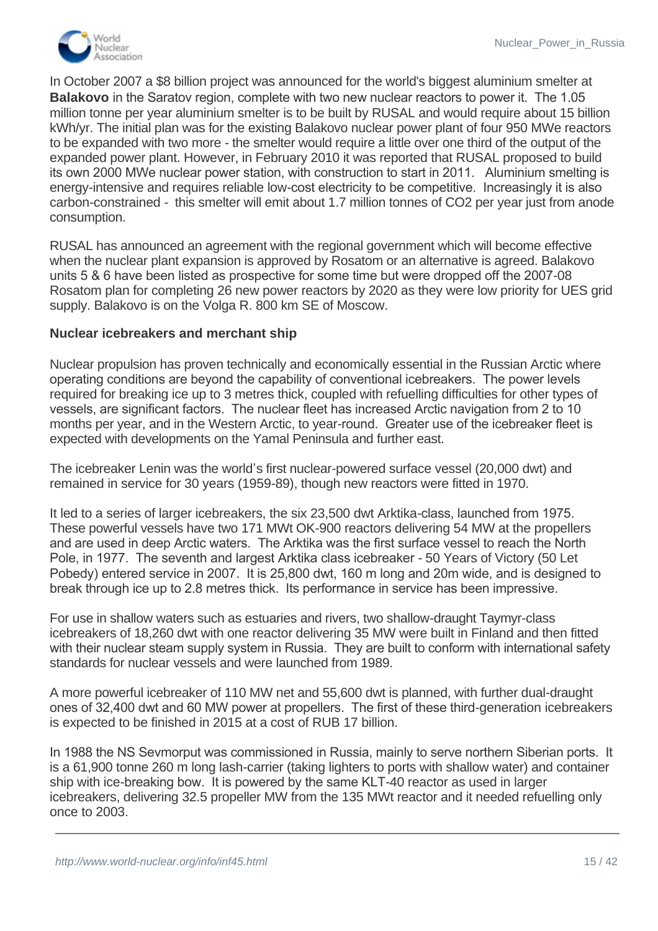

In October 2007 a \$8 billion project was announced for the world's biggest aluminium smelter at **Balakovo** in the Saratov region, complete with two new nuclear reactors to power it. The 1.05 million tonne per year aluminium smelter is to be built by RUSAL and would require about 15 billion kWh/yr. The initial plan was for the existing Balakovo nuclear power plant of four 950 MWe reactors to be expanded with two more - the smelter would require a little over one third of the output of the expanded power plant. However, in February 2010 it was reported that RUSAL proposed to build its own 2000 MWe nuclear power station, with construction to start in 2011. Aluminium smelting is energy-intensive and requires reliable low-cost electricity to be competitive. Increasingly it is also carbon-constrained - this smelter will emit about 1.7 million tonnes of CO2 per year just from anode consumption.

RUSAL has announced an agreement with the regional government which will become effective when the nuclear plant expansion is approved by Rosatom or an alternative is agreed. Balakovo units 5 & 6 have been listed as prospective for some time but were dropped off the 2007-08 Rosatom plan for completing 26 new power reactors by 2020 as they were low priority for UES grid supply. Balakovo is on the Volga R. 800 km SE of Moscow.

#### **Nuclear icebreakers and merchant ship**

Nuclear propulsion has proven technically and economically essential in the Russian Arctic where operating conditions are beyond the capability of conventional icebreakers. The power levels required for breaking ice up to 3 metres thick, coupled with refuelling difficulties for other types of vessels, are significant factors. The nuclear fleet has increased Arctic navigation from 2 to 10 months per year, and in the Western Arctic, to year-round. Greater use of the icebreaker fleet is expected with developments on the Yamal Peninsula and further east.

The icebreaker Lenin was the world's first nuclear-powered surface vessel (20,000 dwt) and remained in service for 30 years (1959-89), though new reactors were fitted in 1970.

It led to a series of larger icebreakers, the six 23,500 dwt Arktika-class, launched from 1975. These powerful vessels have two 171 MWt OK-900 reactors delivering 54 MW at the propellers and are used in deep Arctic waters. The Arktika was the first surface vessel to reach the North Pole, in 1977. The seventh and largest Arktika class icebreaker - 50 Years of Victory (50 Let Pobedy) entered service in 2007. It is 25,800 dwt, 160 m long and 20m wide, and is designed to break through ice up to 2.8 metres thick. Its performance in service has been impressive.

For use in shallow waters such as estuaries and rivers, two shallow-draught Taymyr-class icebreakers of 18,260 dwt with one reactor delivering 35 MW were built in Finland and then fitted with their nuclear steam supply system in Russia. They are built to conform with international safety standards for nuclear vessels and were launched from 1989.

A more powerful icebreaker of 110 MW net and 55,600 dwt is planned, with further dual-draught ones of 32,400 dwt and 60 MW power at propellers. The first of these third-generation icebreakers is expected to be finished in 2015 at a cost of RUB 17 billion.

In 1988 the NS Sevmorput was commissioned in Russia, mainly to serve northern Siberian ports. It is a 61,900 tonne 260 m long lash-carrier (taking lighters to ports with shallow water) and container ship with ice-breaking bow. It is powered by the same KLT-40 reactor as used in larger icebreakers, delivering 32.5 propeller MW from the 135 MWt reactor and it needed refuelling only once to 2003.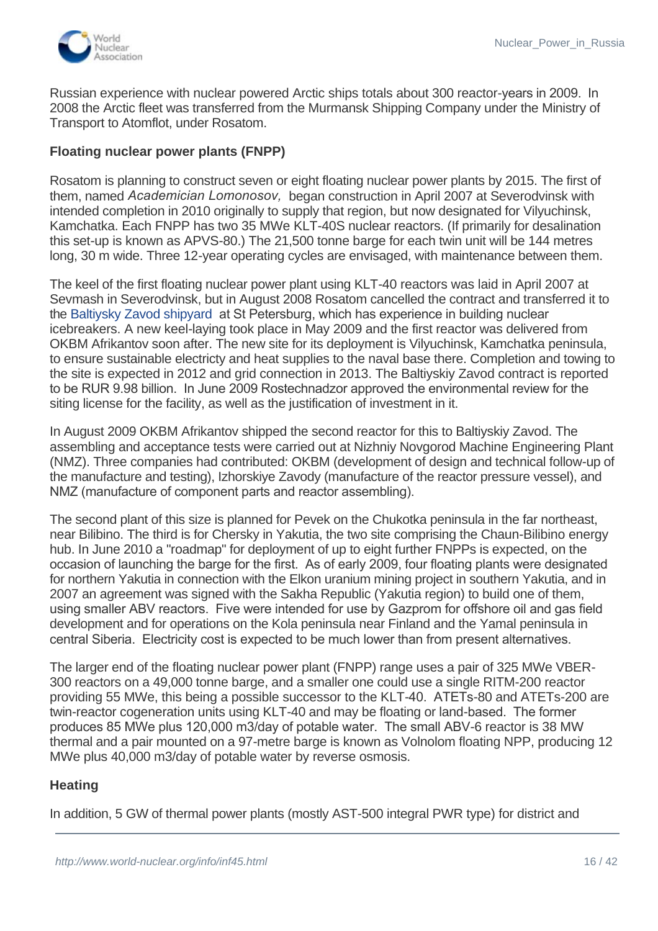

Russian experience with nuclear powered Arctic ships totals about 300 reactor-years in 2009. In 2008 the Arctic fleet was transferred from the Murmansk Shipping Company under the Ministry of Transport to Atomflot, under Rosatom.

## **Floating nuclear power plants (FNPP)**

Rosatom is planning to construct seven or eight floating nuclear power plants by 2015. The first of them, named *Academician Lomonosov,*  began construction in April 2007 at Severodvinsk with intended completion in 2010 originally to supply that region, but now designated for Vilyuchinsk, Kamchatka. Each FNPP has two 35 MWe KLT-40S nuclear reactors. (If primarily for desalination this set-up is known as APVS-80.) The 21,500 tonne barge for each twin unit will be 144 metres long, 30 m wide. Three 12-year operating cycles are envisaged, with maintenance between them.

The keel of the first floating nuclear power plant using KLT-40 reactors was laid in April 2007 at Sevmash in Severodvinsk, but in August 2008 Rosatom cancelled the contract and transferred it to the [Baltiysky Zavod shipyard](http://eng.opk.ru/shipbuilding/balt_zavod/) at St Petersburg, which has experience in building nuclear icebreakers. A new keel-laying took place in May 2009 and the first reactor was delivered from OKBM Afrikantov soon after. The new site for its deployment is Vilyuchinsk, Kamchatka peninsula, to ensure sustainable electricty and heat supplies to the naval base there. Completion and towing to the site is expected in 2012 and grid connection in 2013. The Baltiyskiy Zavod contract is reported to be RUR 9.98 billion. In June 2009 Rostechnadzor approved the environmental review for the siting license for the facility, as well as the justification of investment in it.

In August 2009 OKBM Afrikantov shipped the second reactor for this to Baltiyskiy Zavod. The assembling and acceptance tests were carried out at Nizhniy Novgorod Machine Engineering Plant (NMZ). Three companies had contributed: OKBM (development of design and technical follow-up of the manufacture and testing), Izhorskiye Zavody (manufacture of the reactor pressure vessel), and NMZ (manufacture of component parts and reactor assembling).

The second plant of this size is planned for Pevek on the Chukotka peninsula in the far northeast, near Bilibino. The third is for Chersky in Yakutia, the two site comprising the Chaun-Bilibino energy hub. In June 2010 a "roadmap" for deployment of up to eight further FNPPs is expected, on the occasion of launching the barge for the first. As of early 2009, four floating plants were designated for northern Yakutia in connection with the Elkon uranium mining project in southern Yakutia, and in 2007 an agreement was signed with the Sakha Republic (Yakutia region) to build one of them, using smaller ABV reactors. Five were intended for use by Gazprom for offshore oil and gas field development and for operations on the Kola peninsula near Finland and the Yamal peninsula in central Siberia. Electricity cost is expected to be much lower than from present alternatives.

The larger end of the floating nuclear power plant (FNPP) range uses a pair of 325 MWe VBER-300 reactors on a 49,000 tonne barge, and a smaller one could use a single RITM-200 reactor providing 55 MWe, this being a possible successor to the KLT-40. ATETs-80 and ATETs-200 are twin-reactor cogeneration units using KLT-40 and may be floating or land-based. The former produces 85 MWe plus 120,000 m3/day of potable water. The small ABV-6 reactor is 38 MW thermal and a pair mounted on a 97-metre barge is known as Volnolom floating NPP, producing 12 MWe plus 40,000 m3/day of potable water by reverse osmosis.

# **Heating**

In addition, 5 GW of thermal power plants (mostly AST-500 integral PWR type) for district and industrial heat will be constructed at Arkhangelesk (4 VK-300 units commissioned to 2016),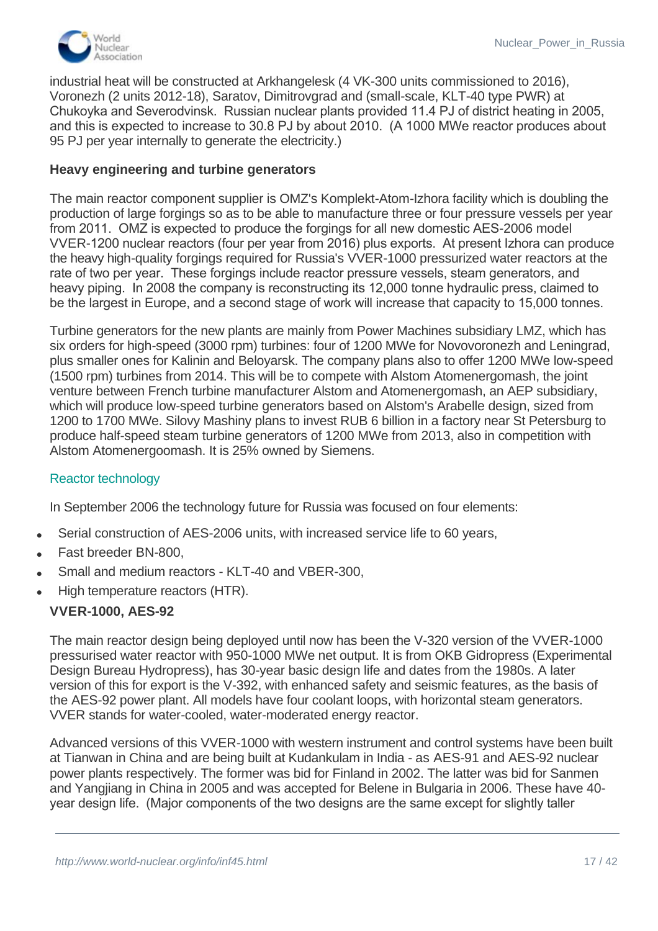

industrial heat will be constructed at Arkhangelesk (4 VK-300 units commissioned to 2016), Voronezh (2 units 2012-18), Saratov, Dimitrovgrad and (small-scale, KLT-40 type PWR) at Chukoyka and Severodvinsk. Russian nuclear plants provided 11.4 PJ of district heating in 2005, and this is expected to increase to 30.8 PJ by about 2010. (A 1000 MWe reactor produces about 95 PJ per year internally to generate the electricity.)

# **Heavy engineering and turbine generators**

The main reactor component supplier is OMZ's Komplekt-Atom-Izhora facility which is doubling the production of large forgings so as to be able to manufacture three or four pressure vessels per year from 2011. OMZ is expected to produce the forgings for all new domestic AES-2006 model VVER-1200 nuclear reactors (four per year from 2016) plus exports. At present Izhora can produce the heavy high-quality forgings required for Russia's VVER-1000 pressurized water reactors at the rate of two per year. These forgings include reactor pressure vessels, steam generators, and heavy piping. In 2008 the company is reconstructing its 12,000 tonne hydraulic press, claimed to be the largest in Europe, and a second stage of work will increase that capacity to 15,000 tonnes.

Turbine generators for the new plants are mainly from Power Machines subsidiary LMZ, which has six orders for high-speed (3000 rpm) turbines: four of 1200 MWe for Novovoronezh and Leningrad, plus smaller ones for Kalinin and Beloyarsk. The company plans also to offer 1200 MWe low-speed (1500 rpm) turbines from 2014. This will be to compete with Alstom Atomenergomash, the joint venture between French turbine manufacturer Alstom and Atomenergomash, an AEP subsidiary, which will produce low-speed turbine generators based on Alstom's Arabelle design, sized from 1200 to 1700 MWe. Silovy Mashiny plans to invest RUB 6 billion in a factory near St Petersburg to produce half-speed steam turbine generators of 1200 MWe from 2013, also in competition with Alstom Atomenergoomash. It is 25% owned by Siemens.

#### Reactor technology

In September 2006 the technology future for Russia was focused on four elements:

- Serial construction of AES-2006 units, with increased service life to 60 years,
- Fast breeder BN-800.
- Small and medium reactors KLT-40 and VBER-300,
- High temperature reactors (HTR).

#### **VVER-1000, AES-92**

The main reactor design being deployed until now has been the V-320 version of the VVER-1000 pressurised water reactor with 950-1000 MWe net output. It is from OKB Gidropress (Experimental Design Bureau Hydropress), has 30-year basic design life and dates from the 1980s. A later version of this for export is the V-392, with enhanced safety and seismic features, as the basis of the AES-92 power plant. All models have four coolant loops, with horizontal steam generators. VVER stands for water-cooled, water-moderated energy reactor.

Advanced versions of this VVER-1000 with western instrument and control systems have been built at Tianwan in China and are being built at Kudankulam in India - as AES-91 and AES-92 nuclear power plants respectively. The former was bid for Finland in 2002. The latter was bid for Sanmen and Yangjiang in China in 2005 and was accepted for Belene in Bulgaria in 2006. These have 40 year design life. (Major components of the two designs are the same except for slightly taller

safety features, the AES-91 has extra sets seismic protection. The V-428 in the  $\sim$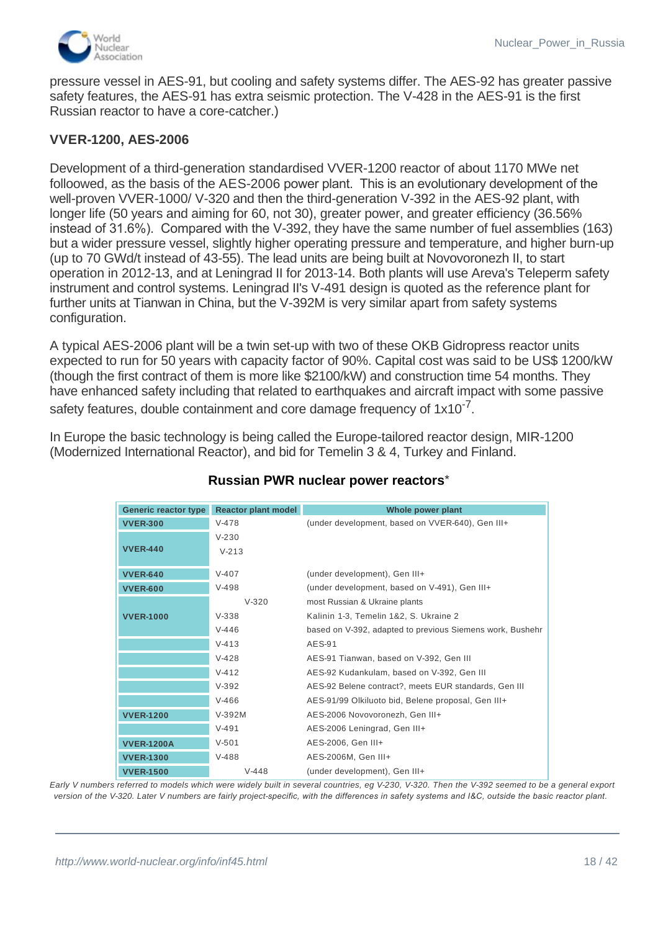

pressure vessel in AES-91, but cooling and safety systems differ. The AES-92 has greater passive safety features, the AES-91 has extra seismic protection. The V-428 in the AES-91 is the first Russian reactor to have a core-catcher.)

#### **VVER-1200, AES-2006**

Development of a third-generation standardised VVER-1200 reactor of about 1170 MWe net folloowed, as the basis of the AES-2006 power plant. This is an evolutionary development of the well-proven VVER-1000/ V-320 and then the third-generation V-392 in the AES-92 plant, with longer life (50 years and aiming for 60, not 30), greater power, and greater efficiency (36.56% instead of 31.6%). Compared with the V-392, they have the same number of fuel assemblies (163) but a wider pressure vessel, slightly higher operating pressure and temperature, and higher burn-up (up to 70 GWd/t instead of 43-55). The lead units are being built at Novovoronezh II, to start operation in 2012-13, and at Leningrad II for 2013-14. Both plants will use Areva's Teleperm safety instrument and control systems. Leningrad II's V-491 design is quoted as the reference plant for further units at Tianwan in China, but the V-392M is very similar apart from safety systems configuration.

A typical AES-2006 plant will be a twin set-up with two of these OKB Gidropress reactor units expected to run for 50 years with capacity factor of 90%. Capital cost was said to be US\$ 1200/kW (though the first contract of them is more like \$2100/kW) and construction time 54 months. They have enhanced safety including that related to earthquakes and aircraft impact with some passive safety features, double containment and core damage frequency of  $1x10^{-7}$ .

In Europe the basic technology is being called the Europe-tailored reactor design, MIR-1200 (Modernized International Reactor), and bid for Temelin 3 & 4, Turkey and Finland.

| Generic reactor type | <b>Reactor plant model</b> | Whole power plant                                         |
|----------------------|----------------------------|-----------------------------------------------------------|
| <b>VVER-300</b>      | $V-478$                    | (under development, based on VVER-640), Gen III+          |
|                      | $V - 230$                  |                                                           |
| <b>VVER-440</b>      | $V - 213$                  |                                                           |
| <b>VVER-640</b>      | $V-407$                    | (under development), Gen III+                             |
| <b>VVER-600</b>      | $V-498$                    | (under development, based on V-491), Gen III+             |
|                      | $V-320$                    | most Russian & Ukraine plants                             |
|                      |                            |                                                           |
| <b>VVER-1000</b>     | $V-338$                    | Kalinin 1-3, Temelin 1&2, S. Ukraine 2                    |
|                      | $V - 446$                  | based on V-392, adapted to previous Siemens work, Bushehr |
|                      | $V - 413$                  | AES-91                                                    |
|                      | $V-428$                    | AES-91 Tianwan, based on V-392, Gen III                   |
|                      | $V - 412$                  | AES-92 Kudankulam, based on V-392, Gen III                |
|                      | $V - 392$                  | AES-92 Belene contract?, meets EUR standards, Gen III     |
|                      | $V-466$                    | AES-91/99 Olkiluoto bid, Belene proposal, Gen III+        |
| <b>VVER-1200</b>     | $V-392M$                   | AES-2006 Novovoronezh, Gen III+                           |
|                      | $V-491$                    | AES-2006 Leningrad, Gen III+                              |
| <b>VVER-1200A</b>    | $V - 501$                  | AES-2006, Gen III+                                        |
| <b>VVER-1300</b>     | $V-488$                    | AES-2006M, Gen III+                                       |
| <b>VVER-1500</b>     | $V-448$                    | (under development), Gen III+                             |

# **Russian PWR nuclear power reactors**\*

*Early V numbers referred to models which were widely built in several countries, eg V-230, V-320. Then the V-392 seemed to be a general export version of the V-320. Later V numbers are fairly project-specific, with the differences in safety systems and I&C, outside the basic reactor plant.*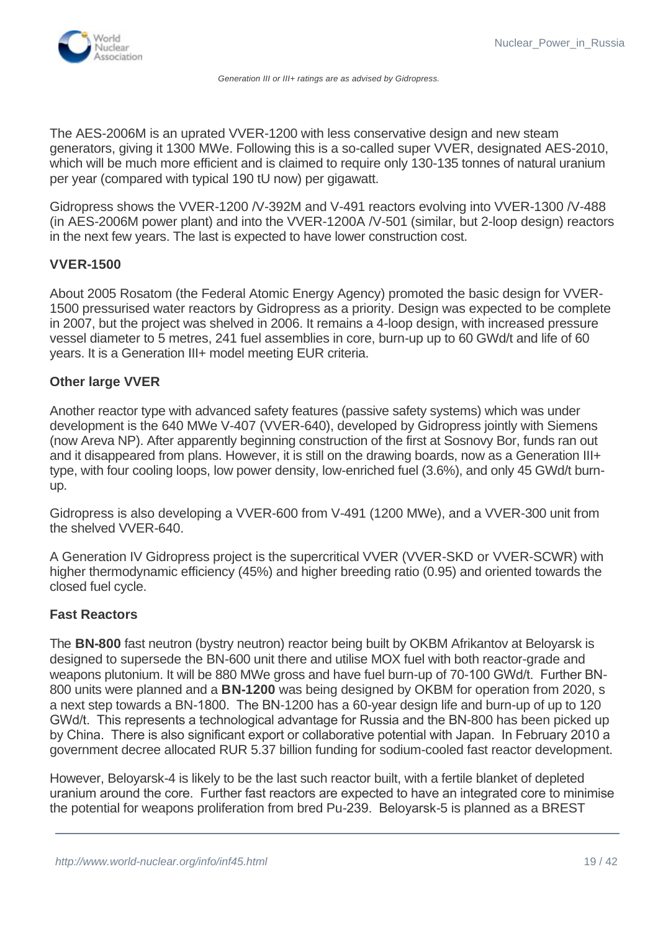

The AES-2006M is an uprated VVER-1200 with less conservative design and new steam generators, giving it 1300 MWe. Following this is a so-called super VVER, designated AES-2010, which will be much more efficient and is claimed to require only 130-135 tonnes of natural uranium per year (compared with typical 190 tU now) per gigawatt.

Gidropress shows the VVER-1200 /V-392M and V-491 reactors evolving into VVER-1300 /V-488 (in AES-2006M power plant) and into the VVER-1200A /V-501 (similar, but 2-loop design) reactors in the next few years. The last is expected to have lower construction cost.

#### **VVER-1500**

About 2005 Rosatom (the Federal Atomic Energy Agency) promoted the basic design for VVER-1500 pressurised water reactors by Gidropress as a priority. Design was expected to be complete in 2007, but the project was shelved in 2006. It remains a 4-loop design, with increased pressure vessel diameter to 5 metres, 241 fuel assemblies in core, burn-up up to 60 GWd/t and life of 60 years. It is a Generation III+ model meeting EUR criteria.

#### **Other large VVER**

Another reactor type with advanced safety features (passive safety systems) which was under development is the 640 MWe V-407 (VVER-640), developed by Gidropress jointly with Siemens (now Areva NP). After apparently beginning construction of the first at Sosnovy Bor, funds ran out and it disappeared from plans. However, it is still on the drawing boards, now as a Generation III+ type, with four cooling loops, low power density, low-enriched fuel (3.6%), and only 45 GWd/t burnup.

Gidropress is also developing a VVER-600 from V-491 (1200 MWe), and a VVER-300 unit from the shelved VVER-640.

A Generation IV Gidropress project is the supercritical VVER (VVER-SKD or VVER-SCWR) with higher thermodynamic efficiency (45%) and higher breeding ratio (0.95) and oriented towards the closed fuel cycle.

#### **Fast Reactors**

The **BN-800** fast neutron (bystry neutron) reactor being built by OKBM Afrikantov at Beloyarsk is designed to supersede the BN-600 unit there and utilise MOX fuel with both reactor-grade and weapons plutonium. It will be 880 MWe gross and have fuel burn-up of 70-100 GWd/t. Further BN-800 units were planned and a **BN-1200** was being designed by OKBM for operation from 2020, s a next step towards a BN-1800. The BN-1200 has a 60-year design life and burn-up of up to 120 GWd/t. This represents a technological advantage for Russia and the BN-800 has been picked up by China. There is also significant export or collaborative potential with Japan. In February 2010 a government decree allocated RUR 5.37 billion funding for sodium-cooled fast reactor development.

However, Beloyarsk-4 is likely to be the last such reactor built, with a fertile blanket of depleted uranium around the core. Further fast reactors are expected to have an integrated core to minimise the potential for weapons proliferation from bred Pu-239. Beloyarsk-5 is planned as a BREST

approved the construction of Beloyarsk-5 with BN-1200 reactor.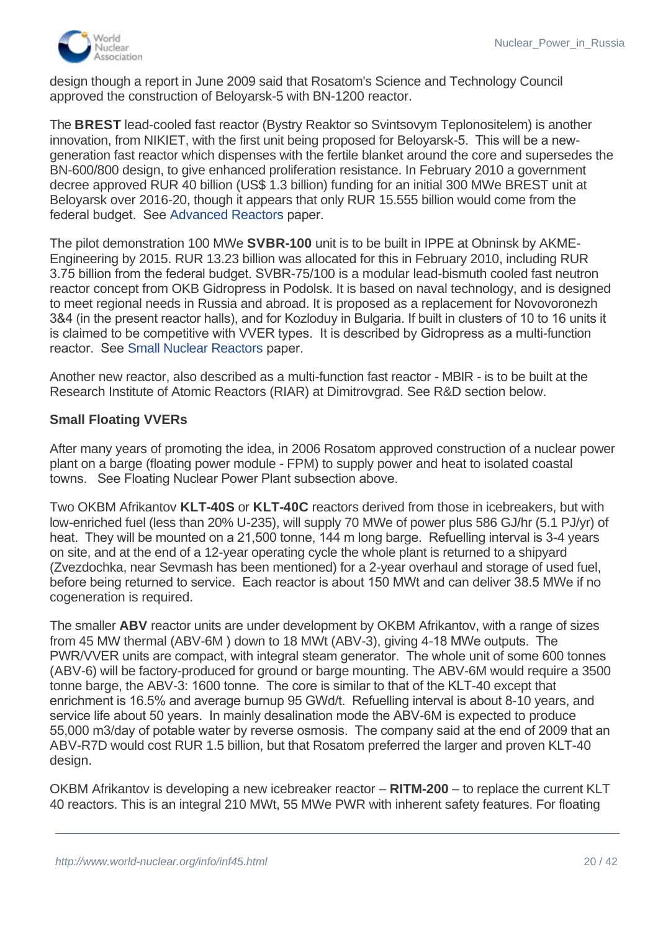

design though a report in June 2009 said that Rosatom's Science and Technology Council approved the construction of Beloyarsk-5 with BN-1200 reactor.

The **BREST** lead-cooled fast reactor (Bystry Reaktor so Svintsovym Teplonositelem) is another innovation, from NIKIET, with the first unit being proposed for Beloyarsk-5. This will be a newgeneration fast reactor which dispenses with the fertile blanket around the core and supersedes the BN-600/800 design, to give enhanced proliferation resistance. In February 2010 a government decree approved RUR 40 billion (US\$ 1.3 billion) funding for an initial 300 MWe BREST unit at Beloyarsk over 2016-20, though it appears that only RUR 15.555 billion would come from the federal budget. See [Advanced Reactors](http://www.world-nuclear.org/info/inf08.html) paper.

The pilot demonstration 100 MWe **SVBR-100** unit is to be built in IPPE at Obninsk by AKME-Engineering by 2015. RUR 13.23 billion was allocated for this in February 2010, including RUR 3.75 billion from the federal budget. SVBR-75/100 is a modular lead-bismuth cooled fast neutron reactor concept from OKB Gidropress in Podolsk. It is based on naval technology, and is designed to meet regional needs in Russia and abroad. It is proposed as a replacement for Novovoronezh 3&4 (in the present reactor halls), and for Kozloduy in Bulgaria. If built in clusters of 10 to 16 units it is claimed to be competitive with VVER types. It is described by Gidropress as a multi-function reactor. See [Small Nuclear Reactors](http://ww.world-nuclear.org/info/inf33.html) paper.

Another new reactor, also described as a multi-function fast reactor - MBIR - is to be built at the Research Institute of Atomic Reactors (RIAR) at Dimitrovgrad. See R&D section below.

# **Small Floating VVERs**

After many years of promoting the idea, in 2006 Rosatom approved construction of a nuclear power plant on a barge (floating power module - FPM) to supply power and heat to isolated coastal towns. See Floating Nuclear Power Plant subsection above.

Two OKBM Afrikantov **KLT-40S** or **KLT-40C** reactors derived from those in icebreakers, but with low-enriched fuel (less than 20% U-235), will supply 70 MWe of power plus 586 GJ/hr (5.1 PJ/yr) of heat. They will be mounted on a 21,500 tonne, 144 m long barge. Refuelling interval is 3-4 years on site, and at the end of a 12-year operating cycle the whole plant is returned to a shipyard (Zvezdochka, near Sevmash has been mentioned) for a 2-year overhaul and storage of used fuel, before being returned to service. Each reactor is about 150 MWt and can deliver 38.5 MWe if no cogeneration is required.

The smaller **ABV** reactor units are under development by OKBM Afrikantov, with a range of sizes from 45 MW thermal (ABV-6M ) down to 18 MWt (ABV-3), giving 4-18 MWe outputs. The PWR/VVER units are compact, with integral steam generator. The whole unit of some 600 tonnes (ABV-6) will be factory-produced for ground or barge mounting. The ABV-6M would require a 3500 tonne barge, the ABV-3: 1600 tonne. The core is similar to that of the KLT-40 except that enrichment is 16.5% and average burnup 95 GWd/t. Refuelling interval is about 8-10 years, and service life about 50 years. In mainly desalination mode the ABV-6M is expected to produce 55,000 m3/day of potable water by reverse osmosis. The company said at the end of 2009 that an ABV-R7D would cost RUR 1.5 billion, but that Rosatom preferred the larger and proven KLT-40 design.

OKBM Afrikantov is developing a new icebreaker reactor – **RITM-200** – to replace the current KLT 40 reactors. This is an integral 210 MWt, 55 MWe PWR with inherent safety features. For floating

of  $77.7$  MWe) and requiring a barge one third the displacement. The displacement period would be  $10^4$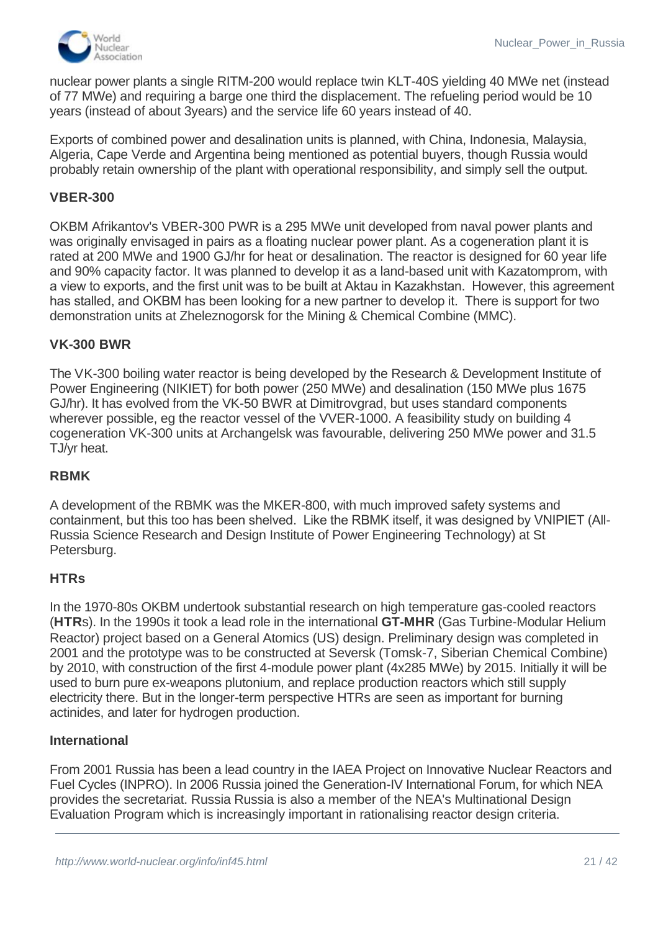

nuclear power plants a single RITM-200 would replace twin KLT-40S yielding 40 MWe net (instead of 77 MWe) and requiring a barge one third the displacement. The refueling period would be 10 years (instead of about 3years) and the service life 60 years instead of 40.

Exports of combined power and desalination units is planned, with China, Indonesia, Malaysia, Algeria, Cape Verde and Argentina being mentioned as potential buyers, though Russia would probably retain ownership of the plant with operational responsibility, and simply sell the output.

# **VBER-300**

OKBM Afrikantov's VBER-300 PWR is a 295 MWe unit developed from naval power plants and was originally envisaged in pairs as a floating nuclear power plant. As a cogeneration plant it is rated at 200 MWe and 1900 GJ/hr for heat or desalination. The reactor is designed for 60 year life and 90% capacity factor. It was planned to develop it as a land-based unit with Kazatomprom, with a view to exports, and the first unit was to be built at Aktau in Kazakhstan. However, this agreement has stalled, and OKBM has been looking for a new partner to develop it. There is support for two demonstration units at Zheleznogorsk for the Mining & Chemical Combine (MMC).

# **VK-300 BWR**

The VK-300 boiling water reactor is being developed by the Research & Development Institute of Power Engineering (NIKIET) for both power (250 MWe) and desalination (150 MWe plus 1675 GJ/hr). It has evolved from the VK-50 BWR at Dimitrovgrad, but uses standard components wherever possible, eg the reactor vessel of the VVER-1000. A feasibility study on building 4 cogeneration VK-300 units at Archangelsk was favourable, delivering 250 MWe power and 31.5 TJ/yr heat.

#### **RBMK**

A development of the RBMK was the MKER-800, with much improved safety systems and containment, but this too has been shelved. Like the RBMK itself, it was designed by VNIPIET (All-Russia Science Research and Design Institute of Power Engineering Technology) at St Petersburg.

#### **HTRs**

In the 1970-80s OKBM undertook substantial research on high temperature gas-cooled reactors (**HTR**s). In the 1990s it took a lead role in the international **GT-MHR** (Gas Turbine-Modular Helium Reactor) project based on a General Atomics (US) design. Preliminary design was completed in 2001 and the prototype was to be constructed at Seversk (Tomsk-7, Siberian Chemical Combine) by 2010, with construction of the first 4-module power plant (4x285 MWe) by 2015. Initially it will be used to burn pure ex-weapons plutonium, and replace production reactors which still supply electricity there. But in the longer-term perspective HTRs are seen as important for burning actinides, and later for hydrogen production.

#### **International**

From 2001 Russia has been a lead country in the IAEA Project on Innovative Nuclear Reactors and Fuel Cycles (INPRO). In 2006 Russia joined the Generation-IV International Forum, for which NEA provides the secretariat. Russia Russia is also a member of the NEA's Multinational Design Evaluation Program which is increasingly important in rationalising reactor design criteria.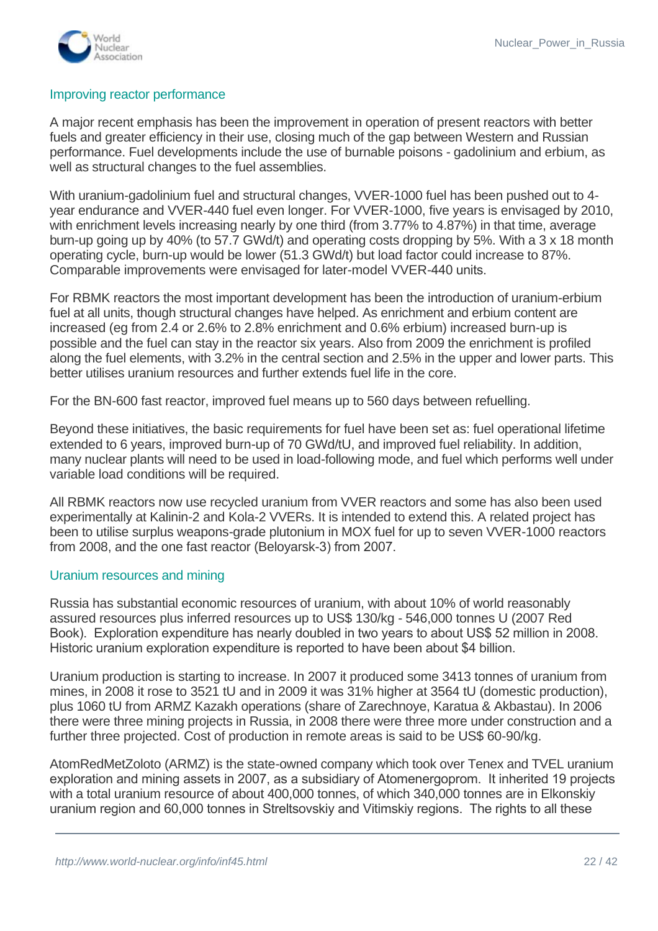

#### Improving reactor performance

A major recent emphasis has been the improvement in operation of present reactors with better fuels and greater efficiency in their use, closing much of the gap between Western and Russian performance. Fuel developments include the use of burnable poisons - gadolinium and erbium, as well as structural changes to the fuel assemblies.

With uranium-gadolinium fuel and structural changes, VVER-1000 fuel has been pushed out to 4 year endurance and VVER-440 fuel even longer. For VVER-1000, five years is envisaged by 2010, with enrichment levels increasing nearly by one third (from 3.77% to 4.87%) in that time, average burn-up going up by 40% (to 57.7 GWd/t) and operating costs dropping by 5%. With a 3 x 18 month operating cycle, burn-up would be lower (51.3 GWd/t) but load factor could increase to 87%. Comparable improvements were envisaged for later-model VVER-440 units.

For RBMK reactors the most important development has been the introduction of uranium-erbium fuel at all units, though structural changes have helped. As enrichment and erbium content are increased (eg from 2.4 or 2.6% to 2.8% enrichment and 0.6% erbium) increased burn-up is possible and the fuel can stay in the reactor six years. Also from 2009 the enrichment is profiled along the fuel elements, with 3.2% in the central section and 2.5% in the upper and lower parts. This better utilises uranium resources and further extends fuel life in the core.

For the BN-600 fast reactor, improved fuel means up to 560 days between refuelling.

Beyond these initiatives, the basic requirements for fuel have been set as: fuel operational lifetime extended to 6 years, improved burn-up of 70 GWd/tU, and improved fuel reliability. In addition, many nuclear plants will need to be used in load-following mode, and fuel which performs well under variable load conditions will be required.

All RBMK reactors now use recycled uranium from VVER reactors and some has also been used experimentally at Kalinin-2 and Kola-2 VVERs. It is intended to extend this. A related project has been to utilise surplus weapons-grade plutonium in MOX fuel for up to seven VVER-1000 reactors from 2008, and the one fast reactor (Beloyarsk-3) from 2007.

#### <span id="page-21-0"></span>Uranium resources and mining

Russia has substantial economic resources of uranium, with about 10% of world reasonably assured resources plus inferred resources up to US\$ 130/kg - 546,000 tonnes U (2007 Red Book). Exploration expenditure has nearly doubled in two years to about US\$ 52 million in 2008. Historic uranium exploration expenditure is reported to have been about \$4 billion.

Uranium production is starting to increase. In 2007 it produced some 3413 tonnes of uranium from mines, in 2008 it rose to 3521 tU and in 2009 it was 31% higher at 3564 tU (domestic production), plus 1060 tU from ARMZ Kazakh operations (share of Zarechnoye, Karatua & Akbastau). In 2006 there were three mining projects in Russia, in 2008 there were three more under construction and a further three projected. Cost of production in remote areas is said to be US\$ 60-90/kg.

AtomRedMetZoloto (ARMZ) is the state-owned company which took over Tenex and TVEL uranium exploration and mining assets in 2007, as a subsidiary of Atomenergoprom. It inherited 19 projects with a total uranium resource of about 400,000 tonnes, of which 340,000 tonnes are in Elkonskiy uranium region and 60,000 tonnes in Streltsovskiy and Vitimskiy regions. The rights to all these

(Rosnedra).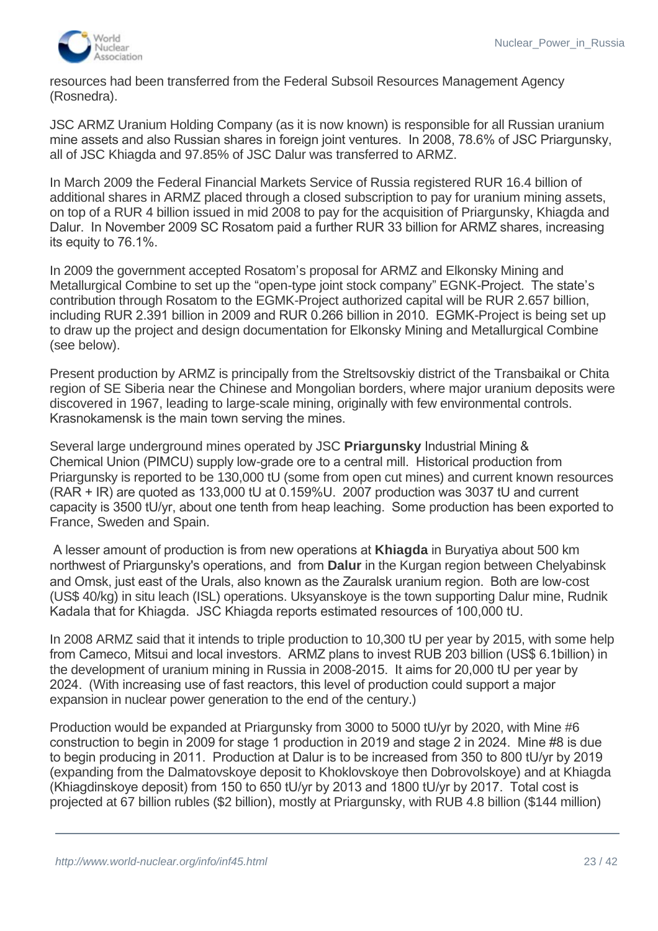

resources had been transferred from the Federal Subsoil Resources Management Agency (Rosnedra).

JSC ARMZ Uranium Holding Company (as it is now known) is responsible for all Russian uranium mine assets and also Russian shares in foreign joint ventures. In 2008, 78.6% of JSC Priargunsky, all of JSC Khiagda and 97.85% of JSC Dalur was transferred to ARMZ.

In March 2009 the Federal Financial Markets Service of Russia registered RUR 16.4 billion of additional shares in ARMZ placed through a closed subscription to pay for uranium mining assets, on top of a RUR 4 billion issued in mid 2008 to pay for the acquisition of Priargunsky, Khiagda and Dalur. In November 2009 SC Rosatom paid a further RUR 33 billion for ARMZ shares, increasing its equity to 76.1%.

In 2009 the government accepted Rosatom's proposal for ARMZ and Elkonsky Mining and Metallurgical Combine to set up the "open-type joint stock company" EGNK-Project. The state's contribution through Rosatom to the EGMK-Project authorized capital will be RUR 2.657 billion, including RUR 2.391 billion in 2009 and RUR 0.266 billion in 2010. EGMK-Project is being set up to draw up the project and design documentation for Elkonsky Mining and Metallurgical Combine (see below).

Present production by ARMZ is principally from the Streltsovskiy district of the Transbaikal or Chita region of SE Siberia near the Chinese and Mongolian borders, where major uranium deposits were discovered in 1967, leading to large-scale mining, originally with few environmental controls. Krasnokamensk is the main town serving the mines.

Several large underground mines operated by JSC **Priargunsky** Industrial Mining & Chemical Union (PIMCU) supply low-grade ore to a central mill. Historical production from Priargunsky is reported to be 130,000 tU (some from open cut mines) and current known resources (RAR + IR) are quoted as 133,000 tU at 0.159%U. 2007 production was 3037 tU and current capacity is 3500 tU/yr, about one tenth from heap leaching. Some production has been exported to France, Sweden and Spain.

 A lesser amount of production is from new operations at **Khiagda** in Buryatiya about 500 km northwest of Priargunsky's operations, and from **Dalur** in the Kurgan region between Chelyabinsk and Omsk, just east of the Urals, also known as the Zauralsk uranium region. Both are low-cost (US\$ 40/kg) in situ leach (ISL) operations. Uksyanskoye is the town supporting Dalur mine, Rudnik Kadala that for Khiagda. JSC Khiagda reports estimated resources of 100,000 tU.

In 2008 ARMZ said that it intends to triple production to 10,300 tU per year by 2015, with some help from Cameco, Mitsui and local investors. ARMZ plans to invest RUB 203 billion (US\$ 6.1billion) in the development of uranium mining in Russia in 2008-2015. It aims for 20,000 tU per year by 2024. (With increasing use of fast reactors, this level of production could support a major expansion in nuclear power generation to the end of the century.)

Production would be expanded at Priargunsky from 3000 to 5000 tU/yr by 2020, with Mine #6 construction to begin in 2009 for stage 1 production in 2019 and stage 2 in 2024. Mine #8 is due to begin producing in 2011. Production at Dalur is to be increased from 350 to 800 tU/yr by 2019 (expanding from the Dalmatovskoye deposit to Khoklovskoye then Dobrovolskoye) and at Khiagda (Khiagdinskoye deposit) from 150 to 650 tU/yr by 2013 and 1800 tU/yr by 2017. Total cost is projected at 67 billion rubles (\$2 billion), mostly at Priargunsky, with RUB 4.8 billion (\$144 million)

commissioned in June 2009, replacing a 1976 acid plant.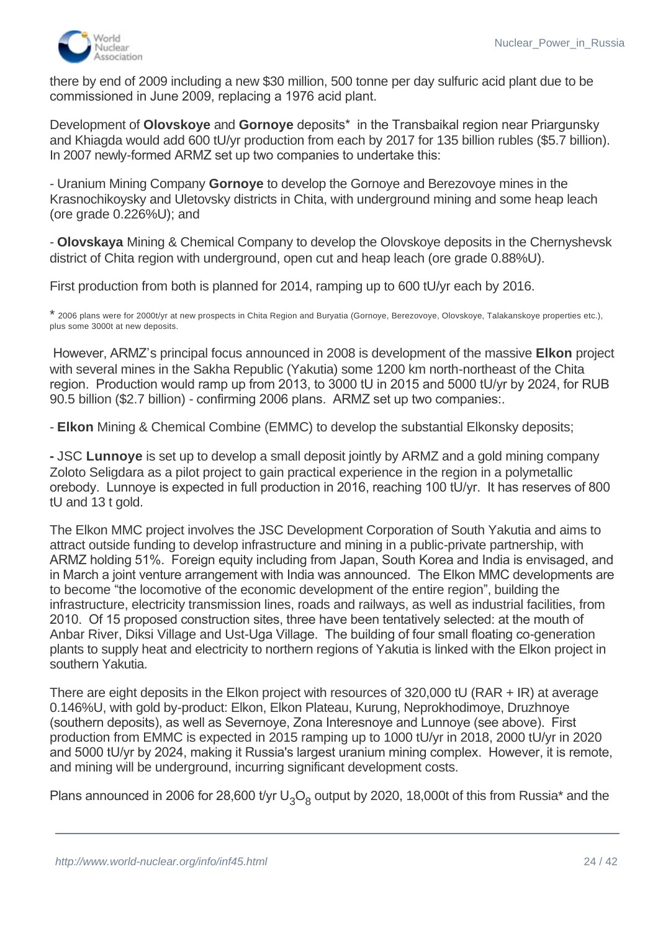

there by end of 2009 including a new \$30 million, 500 tonne per day sulfuric acid plant due to be commissioned in June 2009, replacing a 1976 acid plant.

Development of **Olovskoye** and **Gornoye** deposits\* in the Transbaikal region near Priargunsky and Khiagda would add 600 tU/yr production from each by 2017 for 135 billion rubles (\$5.7 billion). In 2007 newly-formed ARMZ set up two companies to undertake this:

- Uranium Mining Company **Gornoye** to develop the Gornoye and Berezovoye mines in the Krasnochikoysky and Uletovsky districts in Chita, with underground mining and some heap leach (ore grade 0.226%U); and

- **Olovskaya** Mining & Chemical Company to develop the Olovskoye deposits in the Chernyshevsk district of Chita region with underground, open cut and heap leach (ore grade 0.88%U).

First production from both is planned for 2014, ramping up to 600 tU/yr each by 2016.

\* 2006 plans were for 2000t/yr at new prospects in Chita Region and Buryatia (Gornoye, Berezovoye, Olovskoye, Talakanskoye properties etc.), plus some 3000t at new deposits.

 However, ARMZ's principal focus announced in 2008 is development of the massive **Elkon** project with several mines in the Sakha Republic (Yakutia) some 1200 km north-northeast of the Chita region. Production would ramp up from 2013, to 3000 tU in 2015 and 5000 tU/yr by 2024, for RUB 90.5 billion (\$2.7 billion) - confirming 2006 plans. ARMZ set up two companies:.

- **Elkon** Mining & Chemical Combine (EMMC) to develop the substantial Elkonsky deposits;

**-** JSC **Lunnoye** is set up to develop a small deposit jointly by ARMZ and a gold mining company Zoloto Seligdara as a pilot project to gain practical experience in the region in a polymetallic orebody. Lunnoye is expected in full production in 2016, reaching 100 tU/yr. It has reserves of 800 tU and 13 t gold.

The Elkon MMC project involves the JSC Development Corporation of South Yakutia and aims to attract outside funding to develop infrastructure and mining in a public-private partnership, with ARMZ holding 51%. Foreign equity including from Japan, South Korea and India is envisaged, and in March a joint venture arrangement with India was announced. The Elkon MMC developments are to become "the locomotive of the economic development of the entire region", building the infrastructure, electricity transmission lines, roads and railways, as well as industrial facilities, from 2010. Of 15 proposed construction sites, three have been tentatively selected: at the mouth of Anbar River, Diksi Village and Ust-Uga Village. The building of four small floating co-generation plants to supply heat and electricity to northern regions of Yakutia is linked with the Elkon project in southern Yakutia.

There are eight deposits in the Elkon project with resources of 320,000 tU (RAR + IR) at average 0.146%U, with gold by-product: Elkon, Elkon Plateau, Kurung, Neprokhodimoye, Druzhnoye (southern deposits), as well as Severnoye, Zona Interesnoye and Lunnoye (see above). First production from EMMC is expected in 2015 ramping up to 1000 tU/yr in 2018, 2000 tU/yr in 2020 and 5000 tU/yr by 2024, making it Russia's largest uranium mining complex. However, it is remote, and mining will be underground, incurring significant development costs.

Plans announced in 2006 for 28,600 t/yr U<sub>3</sub>O<sub>8</sub> output by 2020, 18,000t of this from Russia\* and the

above. In April 2007 and Mongolia for uranium exploration, mining and mining and uranium exploration, mining a<br>The Mongolia for uranium exploration, mining and mining and mining and mining and mining and mining and mining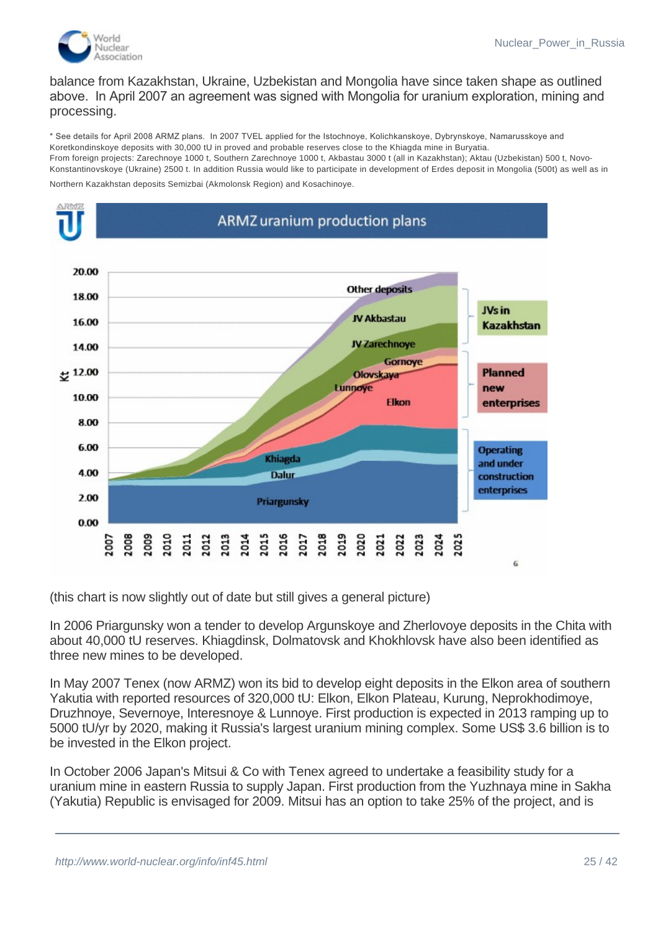

balance from Kazakhstan, Ukraine, Uzbekistan and Mongolia have since taken shape as outlined above. In April 2007 an agreement was signed with Mongolia for uranium exploration, mining and processing.

\* See details for April 2008 ARMZ plans. In 2007 TVEL applied for the Istochnoye, Kolichkanskoye, Dybrynskoye, Namarusskoye and Koretkondinskoye deposits with 30,000 tU in proved and probable reserves close to the Khiagda mine in Buryatia. From foreign projects: Zarechnoye 1000 t, Southern Zarechnoye 1000 t, Akbastau 3000 t (all in Kazakhstan); Aktau (Uzbekistan) 500 t, Novo-Konstantinovskoye (Ukraine) 2500 t. In addition Russia would like to participate in development of Erdes deposit in Mongolia (500t) as well as in

Northern Kazakhstan deposits Semizbai (Akmolonsk Region) and Kosachinoye.



(this chart is now slightly out of date but still gives a general picture)

In 2006 Priargunsky won a tender to develop Argunskoye and Zherlovoye deposits in the Chita with about 40,000 tU reserves. Khiagdinsk, Dolmatovsk and Khokhlovsk have also been identified as three new mines to be developed.

In May 2007 Tenex (now ARMZ) won its bid to develop eight deposits in the Elkon area of southern Yakutia with reported resources of 320,000 tU: Elkon, Elkon Plateau, Kurung, Neprokhodimoye, Druzhnoye, Severnoye, Interesnoye & Lunnoye. First production is expected in 2013 ramping up to 5000 tU/yr by 2020, making it Russia's largest uranium mining complex. Some US\$ 3.6 billion is to be invested in the Elkon project.

In October 2006 Japan's Mitsui & Co with Tenex agreed to undertake a feasibility study for a uranium mine in eastern Russia to supply Japan. First production from the Yuzhnaya mine in Sakha (Yakutia) Republic is envisaged for 2009. Mitsui has an option to take 25% of the project, and is

 $\overline{\phantom{a}}$  million, with production reaching 1000 tu/yr by 2015. This would represent the first foreign for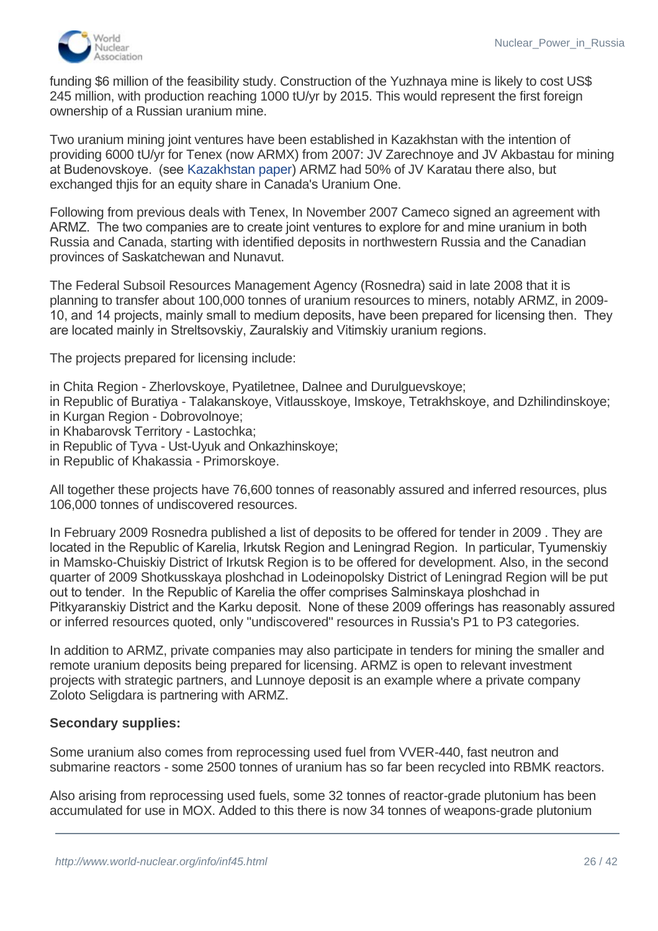

funding \$6 million of the feasibility study. Construction of the Yuzhnaya mine is likely to cost US\$ 245 million, with production reaching 1000 tU/yr by 2015. This would represent the first foreign ownership of a Russian uranium mine.

Two uranium mining joint ventures have been established in Kazakhstan with the intention of providing 6000 tU/yr for Tenex (now ARMX) from 2007: JV Zarechnoye and JV Akbastau for mining at Budenovskoye. (see [Kazakhstan paper](http://www.world-nuclear.org/info/inf89.html)) ARMZ had 50% of JV Karatau there also, but exchanged thjis for an equity share in Canada's Uranium One.

Following from previous deals with Tenex, In November 2007 Cameco signed an agreement with ARMZ. The two companies are to create joint ventures to explore for and mine uranium in both Russia and Canada, starting with identified deposits in northwestern Russia and the Canadian provinces of Saskatchewan and Nunavut.

The Federal Subsoil Resources Management Agency (Rosnedra) said in late 2008 that it is planning to transfer about 100,000 tonnes of uranium resources to miners, notably ARMZ, in 2009- 10, and 14 projects, mainly small to medium deposits, have been prepared for licensing then. They are located mainly in Streltsovskiy, Zauralskiy and Vitimskiy uranium regions.

The projects prepared for licensing include:

- in Chita Region Zherlovskoye, Pyatiletnee, Dalnee and Durulguevskoye;
- in Republic of Buratiya Talakanskoye, Vitlausskoye, Imskoye, Tetrakhskoye, and Dzhilindinskoye; in Kurgan Region - Dobrovolnoye;
- in Khabarovsk Territory Lastochka;
- in Republic of Tyva Ust-Uyuk and Onkazhinskoye;
- in Republic of Khakassia Primorskoye.

All together these projects have 76,600 tonnes of reasonably assured and inferred resources, plus 106,000 tonnes of undiscovered resources.

In February 2009 Rosnedra published a list of deposits to be offered for tender in 2009 . They are located in the Republic of Karelia, Irkutsk Region and Leningrad Region. In particular, Tyumenskiy in Mamsko-Chuiskiy District of Irkutsk Region is to be offered for development. Also, in the second quarter of 2009 Shotkusskaya ploshchad in Lodeinopolsky District of Leningrad Region will be put out to tender. In the Republic of Karelia the offer comprises Salminskaya ploshchad in Pitkyaranskiy District and the Karku deposit. None of these 2009 offerings has reasonably assured or inferred resources quoted, only "undiscovered" resources in Russia's P1 to P3 categories.

In addition to ARMZ, private companies may also participate in tenders for mining the smaller and remote uranium deposits being prepared for licensing. ARMZ is open to relevant investment projects with strategic partners, and Lunnoye deposit is an example where a private company Zoloto Seligdara is partnering with ARMZ.

#### **Secondary supplies:**

Some uranium also comes from reprocessing used fuel from VVER-440, fast neutron and submarine reactors - some 2500 tonnes of uranium has so far been recycled into RBMK reactors.

Also arising from reprocessing used fuels, some 32 tonnes of reactor-grade plutonium has been accumulated for use in MOX. Added to this there is now 34 tonnes of weapons-grade plutonium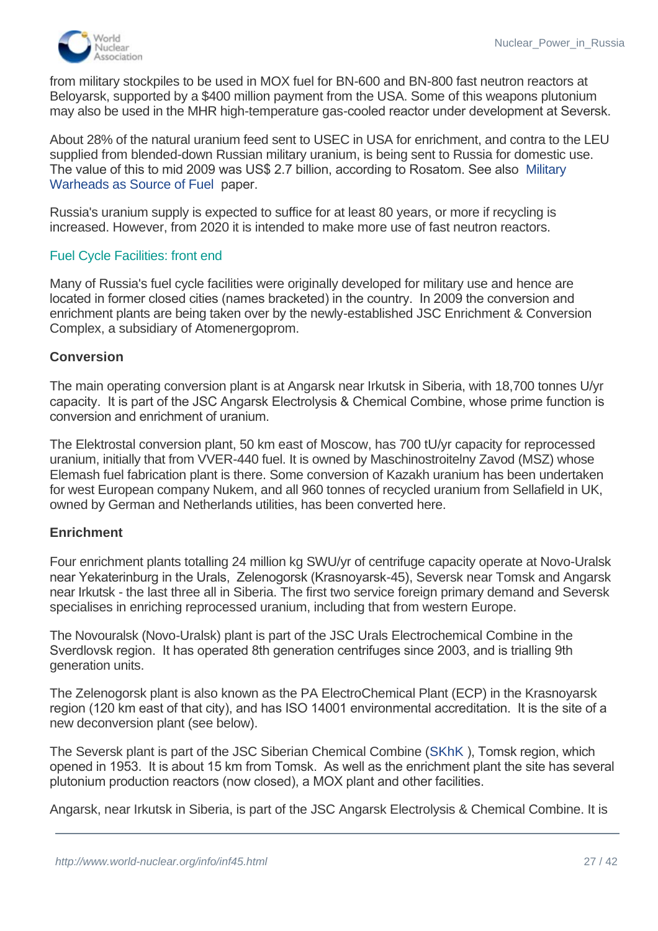

from military stockpiles to be used in MOX fuel for BN-600 and BN-800 fast neutron reactors at Beloyarsk, supported by a \$400 million payment from the USA. Some of this weapons plutonium may also be used in the MHR high-temperature gas-cooled reactor under development at Seversk.

About 28% of the natural uranium feed sent to USEC in USA for enrichment, and contra to the LEU supplied from blended-down Russian military uranium, is being sent to Russia for domestic use. [The value of this to mid 2009 was US\\$ 2.7 billion, according to Rosatom. See also](http://www.world-nuclear.org/info/inf13.html) Military Warheads as Source of Fuel paper.

Russia's uranium supply is expected to suffice for at least 80 years, or more if recycling is increased. However, from 2020 it is intended to make more use of fast neutron reactors.

# Fuel Cycle Facilities: front end

Many of Russia's fuel cycle facilities were originally developed for military use and hence are located in former closed cities (names bracketed) in the country. In 2009 the conversion and enrichment plants are being taken over by the newly-established JSC Enrichment & Conversion Complex, a subsidiary of Atomenergoprom.

#### **Conversion**

The main operating conversion plant is at Angarsk near Irkutsk in Siberia, with 18,700 tonnes U/yr capacity. It is part of the JSC Angarsk Electrolysis & Chemical Combine, whose prime function is conversion and enrichment of uranium.

The Elektrostal conversion plant, 50 km east of Moscow, has 700 tU/yr capacity for reprocessed uranium, initially that from VVER-440 fuel. It is owned by Maschinostroitelny Zavod (MSZ) whose Elemash fuel fabrication plant is there. Some conversion of Kazakh uranium has been undertaken for west European company Nukem, and all 960 tonnes of recycled uranium from Sellafield in UK, owned by German and Netherlands utilities, has been converted here.

#### **Enrichment**

Four enrichment plants totalling 24 million kg SWU/yr of centrifuge capacity operate at Novo-Uralsk near Yekaterinburg in the Urals, Zelenogorsk (Krasnoyarsk-45), Seversk near Tomsk and Angarsk near Irkutsk - the last three all in Siberia. The first two service foreign primary demand and Seversk specialises in enriching reprocessed uranium, including that from western Europe.

The Novouralsk (Novo-Uralsk) plant is part of the JSC Urals Electrochemical Combine in the Sverdlovsk region. It has operated 8th generation centrifuges since 2003, and is trialling 9th generation units.

The Zelenogorsk plant is also known as the PA ElectroChemical Plant (ECP) in the Krasnoyarsk region (120 km east of that city), and has ISO 14001 environmental accreditation. It is the site of a new deconversion plant (see below).

The Seversk plant is part of the JSC Siberian Chemical Combine [\(SKhK](http://www.shk.tomsk.ru%20%20%20%20%20/) ), Tomsk region, which opened in 1953. It is about 15 km from Tomsk. As well as the enrichment plant the site has several plutonium production reactors (now closed), a MOX plant and other facilities.

Angarsk, near Irkutsk in Siberia, is part of the JSC Angarsk Electrolysis & Chemical Combine. It is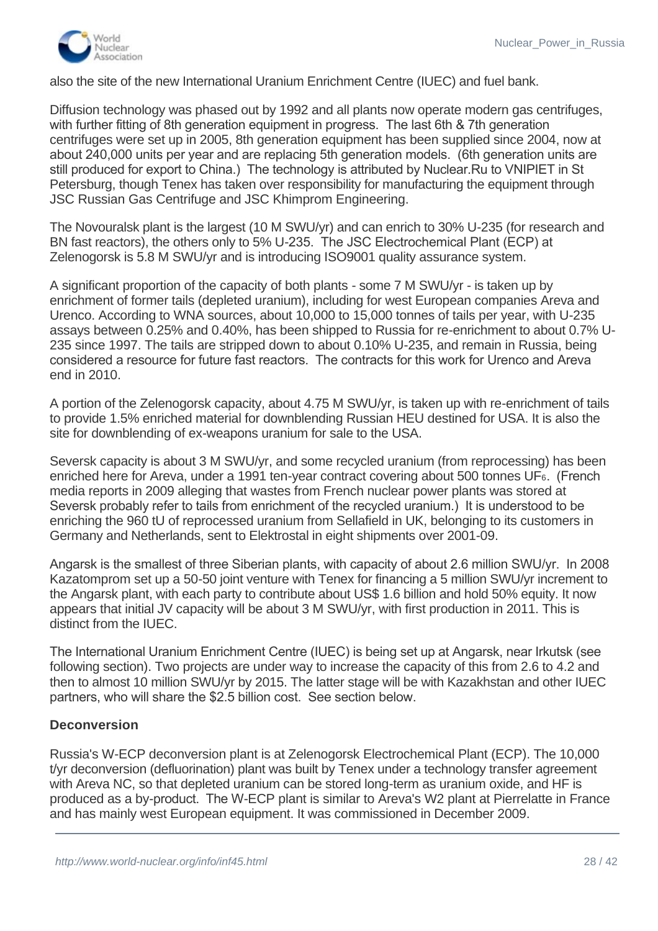

also the site of the new International Uranium Enrichment Centre (IUEC) and fuel bank.

Diffusion technology was phased out by 1992 and all plants now operate modern gas centrifuges, with further fitting of 8th generation equipment in progress. The last 6th & 7th generation centrifuges were set up in 2005, 8th generation equipment has been supplied since 2004, now at about 240,000 units per year and are replacing 5th generation models. (6th generation units are still produced for export to China.) The technology is attributed by Nuclear.Ru to VNIPIET in St Petersburg, though Tenex has taken over responsibility for manufacturing the equipment through JSC Russian Gas Centrifuge and JSC Khimprom Engineering.

The Novouralsk plant is the largest (10 M SWU/yr) and can enrich to 30% U-235 (for research and BN fast reactors), the others only to 5% U-235. The JSC Electrochemical Plant (ECP) at Zelenogorsk is 5.8 M SWU/yr and is introducing ISO9001 quality assurance system.

A significant proportion of the capacity of both plants - some 7 M SWU/yr - is taken up by enrichment of former tails (depleted uranium), including for west European companies Areva and Urenco. According to WNA sources, about 10,000 to 15,000 tonnes of tails per year, with U-235 assays between 0.25% and 0.40%, has been shipped to Russia for re-enrichment to about 0.7% U-235 since 1997. The tails are stripped down to about 0.10% U-235, and remain in Russia, being considered a resource for future fast reactors. The contracts for this work for Urenco and Areva end in 2010.

A portion of the Zelenogorsk capacity, about 4.75 M SWU/yr, is taken up with re-enrichment of tails to provide 1.5% enriched material for downblending Russian HEU destined for USA. It is also the site for downblending of ex-weapons uranium for sale to the USA.

Seversk capacity is about 3 M SWU/yr, and some recycled uranium (from reprocessing) has been enriched here for Areva, under a 1991 ten-year contract covering about 500 tonnes UF6. (French media reports in 2009 alleging that wastes from French nuclear power plants was stored at Seversk probably refer to tails from enrichment of the recycled uranium.) It is understood to be enriching the 960 tU of reprocessed uranium from Sellafield in UK, belonging to its customers in Germany and Netherlands, sent to Elektrostal in eight shipments over 2001-09.

Angarsk is the smallest of three Siberian plants, with capacity of about 2.6 million SWU/yr. In 2008 Kazatomprom set up a 50-50 joint venture with Tenex for financing a 5 million SWU/yr increment to the Angarsk plant, with each party to contribute about US\$ 1.6 billion and hold 50% equity. It now appears that initial JV capacity will be about 3 M SWU/yr, with first production in 2011. This is distinct from the IUEC.

The International Uranium Enrichment Centre (IUEC) is being set up at Angarsk, near Irkutsk (see following section). Two projects are under way to increase the capacity of this from 2.6 to 4.2 and then to almost 10 million SWU/yr by 2015. The latter stage will be with Kazakhstan and other IUEC partners, who will share the \$2.5 billion cost. See section below.

# **Deconversion**

Russia's W-ECP deconversion plant is at Zelenogorsk Electrochemical Plant (ECP). The 10,000 t/yr deconversion (defluorination) plant was built by Tenex under a technology transfer agreement with Areva NC, so that depleted uranium can be stored long-term as uranium oxide, and HF is produced as a by-product. The W-ECP plant is similar to Areva's W2 plant at Pierrelatte in France and has mainly west European equipment. It was commissioned in December 2009.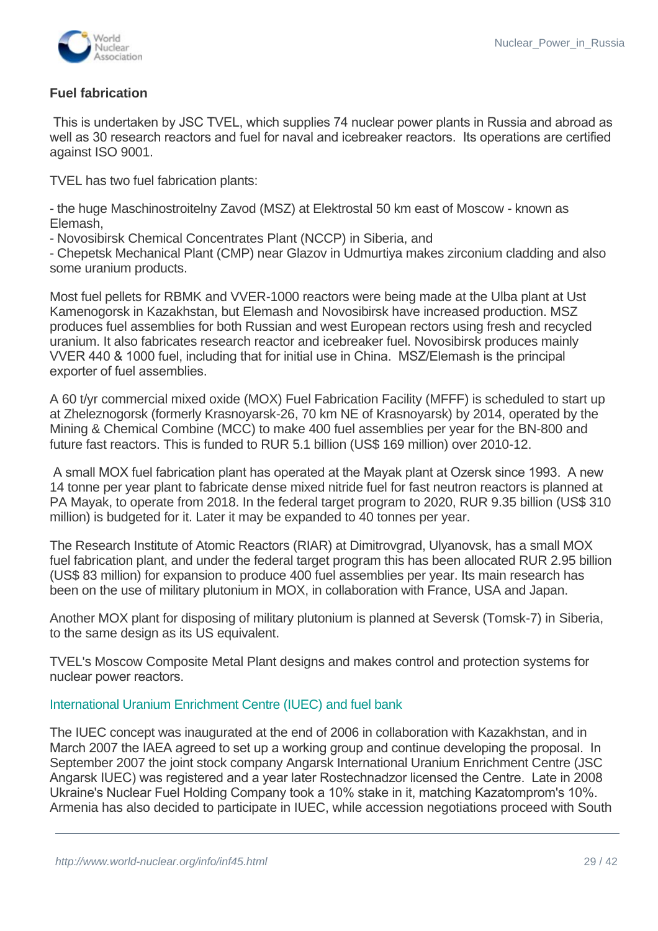

# **Fuel fabrication**

 This is undertaken by JSC TVEL, which supplies 74 nuclear power plants in Russia and abroad as well as 30 research reactors and fuel for naval and icebreaker reactors. Its operations are certified against ISO 9001.

TVEL has two fuel fabrication plants:

- the huge Maschinostroitelny Zavod (MSZ) at Elektrostal 50 km east of Moscow - known as Elemash,

- Novosibirsk Chemical Concentrates Plant (NCCP) in Siberia, and

- Chepetsk Mechanical Plant (CMP) near Glazov in Udmurtiya makes zirconium cladding and also some uranium products.

Most fuel pellets for RBMK and VVER-1000 reactors were being made at the Ulba plant at Ust Kamenogorsk in Kazakhstan, but Elemash and Novosibirsk have increased production. MSZ produces fuel assemblies for both Russian and west European rectors using fresh and recycled uranium. It also fabricates research reactor and icebreaker fuel. Novosibirsk produces mainly VVER 440 & 1000 fuel, including that for initial use in China. MSZ/Elemash is the principal exporter of fuel assemblies.

A 60 t/yr commercial mixed oxide (MOX) Fuel Fabrication Facility (MFFF) is scheduled to start up at Zheleznogorsk (formerly Krasnoyarsk-26, 70 km NE of Krasnoyarsk) by 2014, operated by the Mining & Chemical Combine (MCC) to make 400 fuel assemblies per year for the BN-800 and future fast reactors. This is funded to RUR 5.1 billion (US\$ 169 million) over 2010-12.

 A small MOX fuel fabrication plant has operated at the Mayak plant at Ozersk since 1993. A new 14 tonne per year plant to fabricate dense mixed nitride fuel for fast neutron reactors is planned at PA Mayak, to operate from 2018. In the federal target program to 2020, RUR 9.35 billion (US\$ 310 million) is budgeted for it. Later it may be expanded to 40 tonnes per year.

The Research Institute of Atomic Reactors (RIAR) at Dimitrovgrad, Ulyanovsk, has a small MOX fuel fabrication plant, and under the federal target program this has been allocated RUR 2.95 billion (US\$ 83 million) for expansion to produce 400 fuel assemblies per year. Its main research has been on the use of military plutonium in MOX, in collaboration with France, USA and Japan.

Another MOX plant for disposing of military plutonium is planned at Seversk (Tomsk-7) in Siberia, to the same design as its US equivalent.

TVEL's Moscow Composite Metal Plant designs and makes control and protection systems for nuclear power reactors.

#### <span id="page-28-0"></span>International Uranium Enrichment Centre (IUEC) and fuel bank

The IUEC concept was inaugurated at the end of 2006 in collaboration with Kazakhstan, and in March 2007 the IAEA agreed to set up a working group and continue developing the proposal. In September 2007 the joint stock company Angarsk International Uranium Enrichment Centre (JSC Angarsk IUEC) was registered and a year later Rostechnadzor licensed the Centre. Late in 2008 Ukraine's Nuclear Fuel Holding Company took a 10% stake in it, matching Kazatomprom's 10%. Armenia has also decided to participate in IUEC, while accession negotiations proceed with South

participate in order to secure fuel for its Kudankulam plant. The aim is for Techsnabexport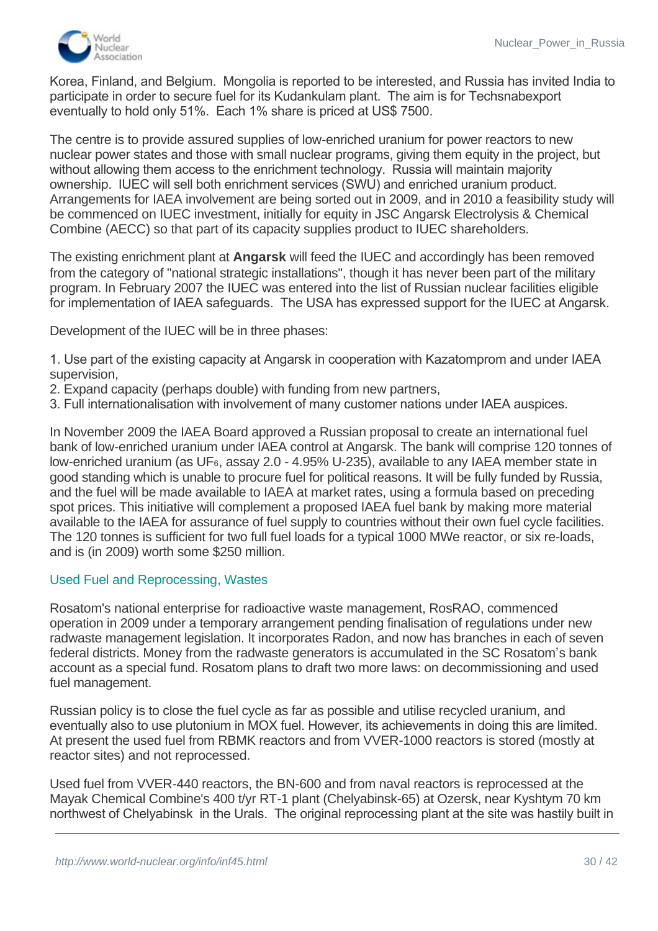

 $A$ rmenia has also decided to participate in IUEC, while accession negotiation negotiations proceed with South South South South South South South South South South South South South South South South South South South So Korea, Finland, and Belgium. Mongolia is reported to be interested, and Russia has invited India to participate in order to secure fuel for its Kudankulam plant. The aim is for Techsnabexport eventually to hold only 51%. Each 1% share is priced at US\$ 7500.

The centre is to provide assured supplies of low-enriched uranium for power reactors to new nuclear power states and those with small nuclear programs, giving them equity in the project, but without allowing them access to the enrichment technology. Russia will maintain majority ownership. IUEC will sell both enrichment services (SWU) and enriched uranium product. Arrangements for IAEA involvement are being sorted out in 2009, and in 2010 a feasibility study will be commenced on IUEC investment, initially for equity in JSC Angarsk Electrolysis & Chemical Combine (AECC) so that part of its capacity supplies product to IUEC shareholders.

The existing enrichment plant at **Angarsk** will feed the IUEC and accordingly has been removed from the category of "national strategic installations", though it has never been part of the military program. In February 2007 the IUEC was entered into the list of Russian nuclear facilities eligible for implementation of IAEA safeguards. The USA has expressed support for the IUEC at Angarsk.

Development of the IUEC will be in three phases:

1. Use part of the existing capacity at Angarsk in cooperation with Kazatomprom and under IAEA supervision,

- 2. Expand capacity (perhaps double) with funding from new partners,
- 3. Full internationalisation with involvement of many customer nations under IAEA auspices.

In November 2009 the IAEA Board approved a Russian proposal to create an international fuel bank of low-enriched uranium under IAEA control at Angarsk. The bank will comprise 120 tonnes of low-enriched uranium (as UF6, assay 2.0 - 4.95% U-235), available to any IAEA member state in good standing which is unable to procure fuel for political reasons. It will be fully funded by Russia, and the fuel will be made available to IAEA at market rates, using a formula based on preceding spot prices. This initiative will complement a proposed IAEA fuel bank by making more material available to the IAEA for assurance of fuel supply to countries without their own fuel cycle facilities. The 120 tonnes is sufficient for two full fuel loads for a typical 1000 MWe reactor, or six re-loads, and is (in 2009) worth some \$250 million.

#### Used Fuel and Reprocessing, Wastes

Rosatom's national enterprise for radioactive waste management, RosRAO, commenced operation in 2009 under a temporary arrangement pending finalisation of regulations under new radwaste management legislation. It incorporates Radon, and now has branches in each of seven federal districts. Money from the radwaste generators is accumulated in the SC Rosatom's bank account as a special fund. Rosatom plans to draft two more laws: on decommissioning and used fuel management.

Russian policy is to close the fuel cycle as far as possible and utilise recycled uranium, and eventually also to use plutonium in MOX fuel. However, its achievements in doing this are limited. At present the used fuel from RBMK reactors and from VVER-1000 reactors is stored (mostly at reactor sites) and not reprocessed.

Used fuel from VVER-440 reactors, the BN-600 and from naval reactors is reprocessed at the Mayak Chemical Combine's 400 t/yr RT-1 plant (Chelyabinsk-65) at Ozersk, near Kyshtym 70 km northwest of Chelyabinsk in the Urals. The original reprocessing plant at the site was hastily built in

the mid 1940s, for military plutonium production in association with five producer reactors (the last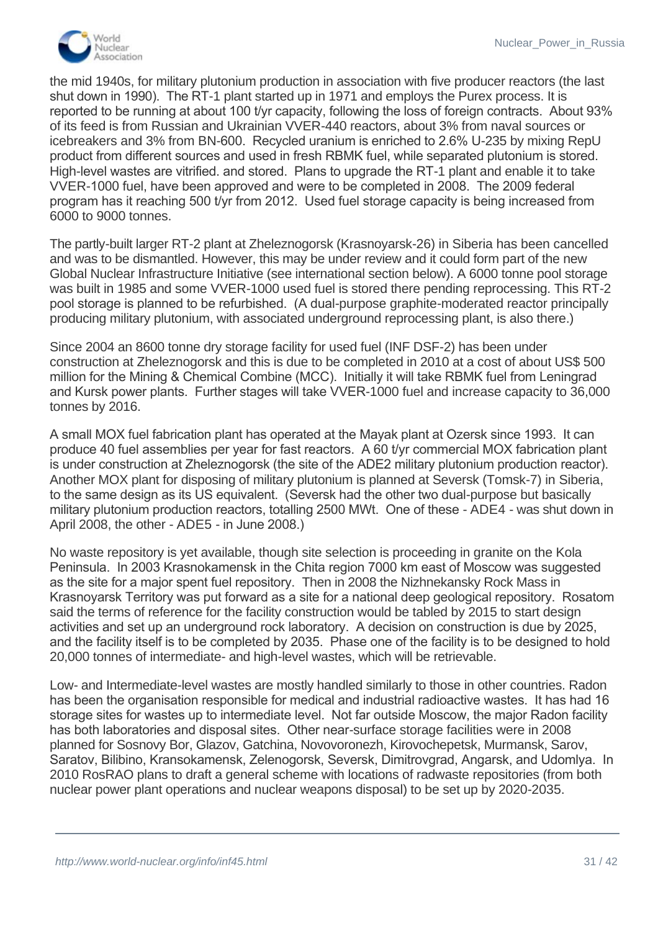

the mid 1940s, for military plutonium production in association with five producer reactors (the last shut down in 1990). The RT-1 plant started up in 1971 and employs the Purex process. It is reported to be running at about 100 t/yr capacity, following the loss of foreign contracts. About 93% of its feed is from Russian and Ukrainian VVER-440 reactors, about 3% from naval sources or icebreakers and 3% from BN-600. Recycled uranium is enriched to 2.6% U-235 by mixing RepU product from different sources and used in fresh RBMK fuel, while separated plutonium is stored. High-level wastes are vitrified. and stored. Plans to upgrade the RT-1 plant and enable it to take VVER-1000 fuel, have been approved and were to be completed in 2008. The 2009 federal program has it reaching 500 t/yr from 2012. Used fuel storage capacity is being increased from 6000 to 9000 tonnes.

The partly-built larger RT-2 plant at Zheleznogorsk (Krasnoyarsk-26) in Siberia has been cancelled and was to be dismantled. However, this may be under review and it could form part of the new Global Nuclear Infrastructure Initiative (see international section below). A 6000 tonne pool storage was built in 1985 and some VVER-1000 used fuel is stored there pending reprocessing. This RT-2 pool storage is planned to be refurbished. (A dual-purpose graphite-moderated reactor principally producing military plutonium, with associated underground reprocessing plant, is also there.)

Since 2004 an 8600 tonne dry storage facility for used fuel (INF DSF-2) has been under construction at Zheleznogorsk and this is due to be completed in 2010 at a cost of about US\$ 500 million for the Mining & Chemical Combine (MCC). Initially it will take RBMK fuel from Leningrad and Kursk power plants. Further stages will take VVER-1000 fuel and increase capacity to 36,000 tonnes by 2016.

A small MOX fuel fabrication plant has operated at the Mayak plant at Ozersk since 1993. It can produce 40 fuel assemblies per year for fast reactors. A 60 t/yr commercial MOX fabrication plant is under construction at Zheleznogorsk (the site of the ADE2 military plutonium production reactor). Another MOX plant for disposing of military plutonium is planned at Seversk (Tomsk-7) in Siberia, to the same design as its US equivalent. (Seversk had the other two dual-purpose but basically military plutonium production reactors, totalling 2500 MWt. One of these - ADE4 - was shut down in April 2008, the other - ADE5 - in June 2008.)

No waste repository is yet available, though site selection is proceeding in granite on the Kola Peninsula. In 2003 Krasnokamensk in the Chita region 7000 km east of Moscow was suggested as the site for a major spent fuel repository. Then in 2008 the Nizhnekansky Rock Mass in Krasnoyarsk Territory was put forward as a site for a national deep geological repository. Rosatom said the terms of reference for the facility construction would be tabled by 2015 to start design activities and set up an underground rock laboratory. A decision on construction is due by 2025, and the facility itself is to be completed by 2035. Phase one of the facility is to be designed to hold 20,000 tonnes of intermediate- and high-level wastes, which will be retrievable.

Low- and Intermediate-level wastes are mostly handled similarly to those in other countries. Radon has been the organisation responsible for medical and industrial radioactive wastes. It has had 16 storage sites for wastes up to intermediate level. Not far outside Moscow, the major Radon facility has both laboratories and disposal sites. Other near-surface storage facilities were in 2008 planned for Sosnovy Bor, Glazov, Gatchina, Novovoronezh, Kirovochepetsk, Murmansk, Sarov, Saratov, Bilibino, Kransokamensk, Zelenogorsk, Seversk, Dimitrovgrad, Angarsk, and Udomlya. In 2010 RosRAO plans to draft a general scheme with locations of radwaste repositories (from both nuclear power plant operations and nuclear weapons disposal) to be set up by 2020-2035.

wastes from some facilities, notably Seversk, Zelenogorsk, Zelenogorsk, Zelenogorsk and Dimitrovgrad. These are mainly  $\sim$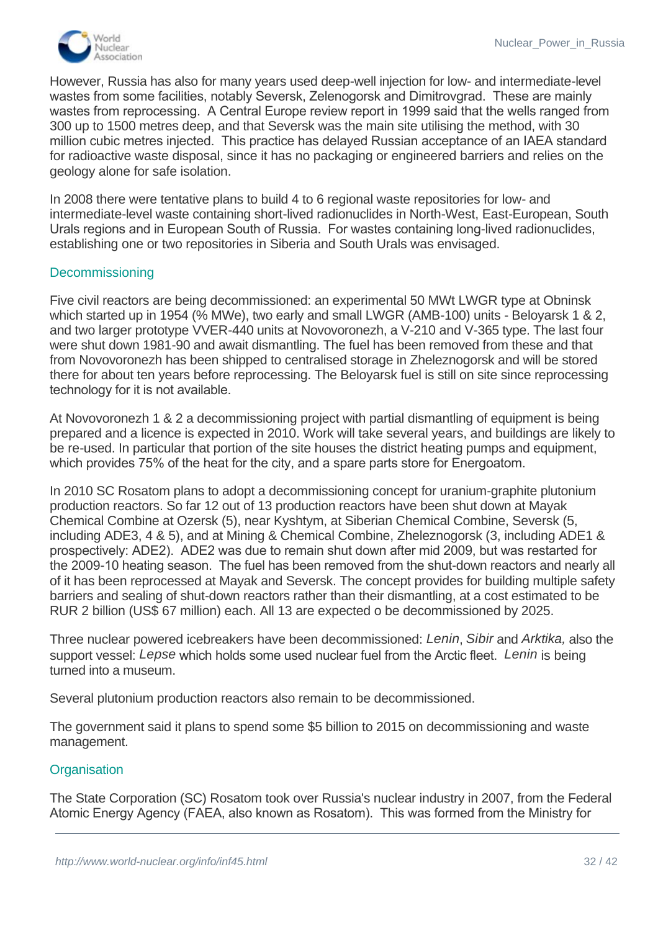

However, Russia has also for many years used deep-well injection for low- and intermediate-level wastes from some facilities, notably Seversk, Zelenogorsk and Dimitrovgrad. These are mainly wastes from reprocessing. A Central Europe review report in 1999 said that the wells ranged from 300 up to 1500 metres deep, and that Seversk was the main site utilising the method, with 30 million cubic metres injected. This practice has delayed Russian acceptance of an IAEA standard for radioactive waste disposal, since it has no packaging or engineered barriers and relies on the geology alone for safe isolation.

In 2008 there were tentative plans to build 4 to 6 regional waste repositories for low- and intermediate-level waste containing short-lived radionuclides in North-West, East-European, South Urals regions and in European South of Russia. For wastes containing long-lived radionuclides, establishing one or two repositories in Siberia and South Urals was envisaged.

#### <span id="page-31-0"></span>**Decommissioning**

Five civil reactors are being decommissioned: an experimental 50 MWt LWGR type at Obninsk which started up in 1954 (% MWe), two early and small LWGR (AMB-100) units - Beloyarsk 1 & 2, and two larger prototype VVER-440 units at Novovoronezh, a V-210 and V-365 type. The last four were shut down 1981-90 and await dismantling. The fuel has been removed from these and that from Novovoronezh has been shipped to centralised storage in Zheleznogorsk and will be stored there for about ten years before reprocessing. The Beloyarsk fuel is still on site since reprocessing technology for it is not available.

At Novovoronezh 1 & 2 a decommissioning project with partial dismantling of equipment is being prepared and a licence is expected in 2010. Work will take several years, and buildings are likely to be re-used. In particular that portion of the site houses the district heating pumps and equipment, which provides 75% of the heat for the city, and a spare parts store for Energoatom.

In 2010 SC Rosatom plans to adopt a decommissioning concept for uranium-graphite plutonium production reactors. So far 12 out of 13 production reactors have been shut down at Mayak Chemical Combine at Ozersk (5), near Kyshtym, at Siberian Chemical Combine, Seversk (5, including ADE3, 4 & 5), and at Mining & Chemical Combine, Zheleznogorsk (3, including ADE1 & prospectively: ADE2). ADE2 was due to remain shut down after mid 2009, but was restarted for the 2009-10 heating season. The fuel has been removed from the shut-down reactors and nearly all of it has been reprocessed at Mayak and Seversk. The concept provides for building multiple safety barriers and sealing of shut-down reactors rather than their dismantling, at a cost estimated to be RUR 2 billion (US\$ 67 million) each. All 13 are expected o be decommissioned by 2025.

Three nuclear powered icebreakers have been decommissioned: *Lenin*, *Sibir* and *Arktika,* also the support vessel: *Lepse* which holds some used nuclear fuel from the Arctic fleet. *Lenin* is being turned into a museum.

Several plutonium production reactors also remain to be decommissioned.

The government said it plans to spend some \$5 billion to 2015 on decommissioning and waste management.

# **Organisation**

The State Corporation (SC) Rosatom took over Russia's nuclear industry in 2007, from the Federal Atomic Energy Agency (FAEA, also known as Rosatom). This was formed from the Ministry for

 $\mathcal{L}_{\mathcal{L}}$  in 2004, which had succeeded a Soviet ministery in 1992. The civil parts in 1992. The civil parts in 1992. The civil parts in 1992. The civil parts in 1992. The civil parts in 1992. The civil parts in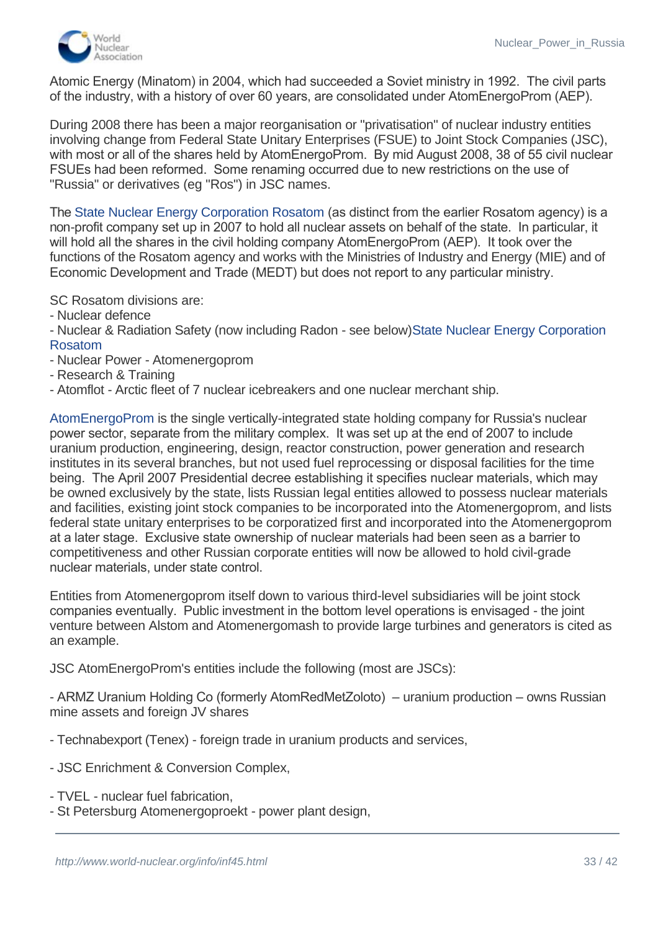

Atomic Energy (Minatom) in 2004, which had succeeded a Soviet ministry in 1992. The civil parts of the industry, with a history of over 60 years, are consolidated under AtomEnergoProm (AEP).

During 2008 there has been a major reorganisation or "privatisation" of nuclear industry entities involving change from Federal State Unitary Enterprises (FSUE) to Joint Stock Companies (JSC), with most or all of the shares held by AtomEnergoProm. By mid August 2008, 38 of 55 civil nuclear FSUEs had been reformed. Some renaming occurred due to new restrictions on the use of "Russia" or derivatives (eg "Ros") in JSC names.

The [State Nuclear Energy Corporation Rosatom](http://atomenergoprom.ru/en/corp/rosatom) (as distinct from the earlier Rosatom agency) is a non-profit company set up in 2007 to hold all nuclear assets on behalf of the state. In particular, it will hold all the shares in the civil holding company AtomEnergoProm (AEP). It took over the functions of the Rosatom agency and works with the Ministries of Industry and Energy (MIE) and of Economic Development and Trade (MEDT) but does not report to any particular ministry.

SC Rosatom divisions are:

- Nuclear defence
- [Nuclear & Radiation Safety \(now including Radon -](http://atomenergoprom.ru/en/corp/rosatom) see below)State Nuclear Energy Corporation Rosatom
- Nuclear Power Atomenergoprom
- Research & Training
- Atomflot Arctic fleet of 7 nuclear icebreakers and one nuclear merchant ship.

[AtomEnergoProm](http://atomenergoprom.ru/en) is the single vertically-integrated state holding company for Russia's nuclear power sector, separate from the military complex. It was set up at the end of 2007 to include uranium production, engineering, design, reactor construction, power generation and research institutes in its several branches, but not used fuel reprocessing or disposal facilities for the time being. The April 2007 Presidential decree establishing it specifies nuclear materials, which may be owned exclusively by the state, lists Russian legal entities allowed to possess nuclear materials and facilities, existing joint stock companies to be incorporated into the Atomenergoprom, and lists federal state unitary enterprises to be corporatized first and incorporated into the Atomenergoprom at a later stage. Exclusive state ownership of nuclear materials had been seen as a barrier to competitiveness and other Russian corporate entities will now be allowed to hold civil-grade nuclear materials, under state control.

Entities from Atomenergoprom itself down to various third-level subsidiaries will be joint stock companies eventually. Public investment in the bottom level operations is envisaged - the joint venture between Alstom and Atomenergomash to provide large turbines and generators is cited as an example.

JSC AtomEnergoProm's entities include the following (most are JSCs):

- ARMZ Uranium Holding Co (formerly AtomRedMetZoloto) – uranium production – owns Russian mine assets and foreign JV shares

- Technabexport (Tenex) foreign trade in uranium products and services,
- JSC Enrichment & Conversion Complex,
- TVEL nuclear fuel fabrication,
- St Petersburg Atomenergoproekt power plant design, - Moscow Atomenergoproekt (AEP) - power plant design,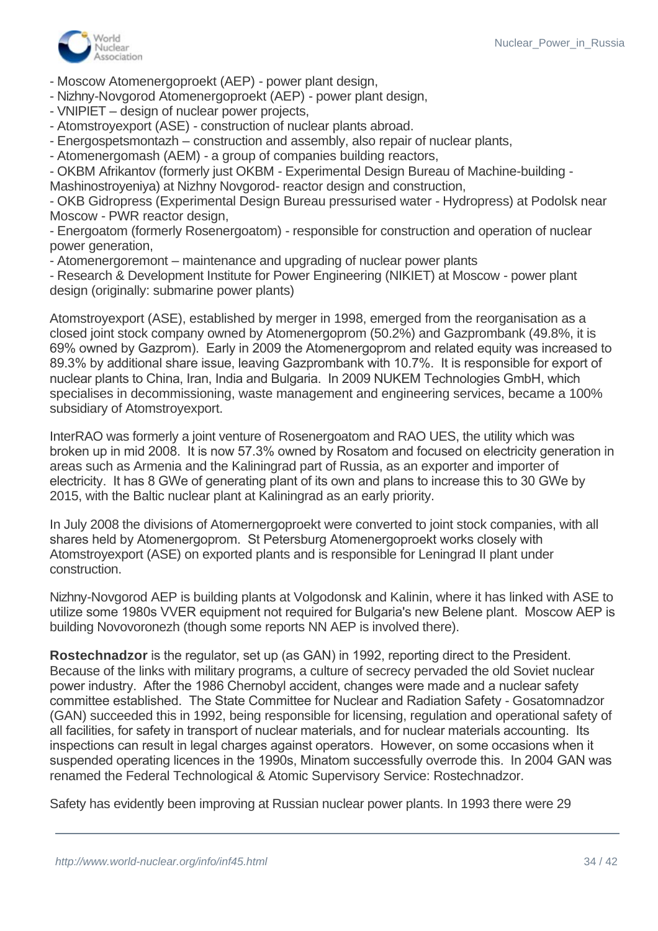

- Moscow Atomenergoproekt (AEP) - power plant design,

- Nizhny-Novgorod Atomenergoproekt (AEP) - power plant design,

- VNIPIET – design of nuclear power projects,

- Atomstroyexport (ASE) - construction of nuclear plants abroad.

- Energospetsmontazh – construction and assembly, also repair of nuclear plants,

- Atomenergomash (AEM) - a group of companies building reactors,

- OKBM Afrikantov (formerly just OKBM - Experimental Design Bureau of Machine-building -

Mashinostroyeniya) at Nizhny Novgorod- reactor design and construction,

- OKB Gidropress (Experimental Design Bureau pressurised water - Hydropress) at Podolsk near Moscow - PWR reactor design,

- Energoatom (formerly Rosenergoatom) - responsible for construction and operation of nuclear power generation,

- Atomenergoremont – maintenance and upgrading of nuclear power plants

- Research & Development Institute for Power Engineering (NIKIET) at Moscow - power plant design (originally: submarine power plants)

Atomstroyexport (ASE), established by merger in 1998, emerged from the reorganisation as a closed joint stock company owned by Atomenergoprom (50.2%) and Gazprombank (49.8%, it is 69% owned by Gazprom). Early in 2009 the Atomenergoprom and related equity was increased to 89.3% by additional share issue, leaving Gazprombank with 10.7%. It is responsible for export of nuclear plants to China, Iran, India and Bulgaria. In 2009 NUKEM Technologies GmbH, which specialises in decommissioning, waste management and engineering services, became a 100% subsidiary of Atomstroyexport.

InterRAO was formerly a joint venture of Rosenergoatom and RAO UES, the utility which was broken up in mid 2008. It is now 57.3% owned by Rosatom and focused on electricity generation in areas such as Armenia and the Kaliningrad part of Russia, as an exporter and importer of electricity. It has 8 GWe of generating plant of its own and plans to increase this to 30 GWe by 2015, with the Baltic nuclear plant at Kaliningrad as an early priority.

In July 2008 the divisions of Atomernergoproekt were converted to joint stock companies, with all shares held by Atomenergoprom. St Petersburg Atomenergoproekt works closely with Atomstroyexport (ASE) on exported plants and is responsible for Leningrad II plant under construction.

Nizhny-Novgorod AEP is building plants at Volgodonsk and Kalinin, where it has linked with ASE to utilize some 1980s VVER equipment not required for Bulgaria's new Belene plant. Moscow AEP is building Novovoronezh (though some reports NN AEP is involved there).

**Rostechnadzor** is the regulator, set up (as GAN) in 1992, reporting direct to the President. Because of the links with military programs, a culture of secrecy pervaded the old Soviet nuclear power industry. After the 1986 Chernobyl accident, changes were made and a nuclear safety committee established. The State Committee for Nuclear and Radiation Safety - Gosatomnadzor (GAN) succeeded this in 1992, being responsible for licensing, regulation and operational safety of all facilities, for safety in transport of nuclear materials, and for nuclear materials accounting. Its inspections can result in legal charges against operators. However, on some occasions when it suspended operating licences in the 1990s, Minatom successfully overrode this. In 2004 GAN was renamed the Federal Technological & Atomic Supervisory Service: Rostechnadzor.

Safety has evidently been improving at Russian nuclear power plants. In 1993 there were 29

 $\overline{\phantom{a}}$  and  $\overline{\phantom{a}}$  and  $\overline{\phantom{a}}$  and  $\overline{\phantom{a}}$  and  $\overline{\phantom{a}}$  and  $\overline{\phantom{a}}$  and  $\overline{\phantom{a}}$  and  $\overline{\phantom{a}}$  and  $\overline{\phantom{a}}$  and  $\overline{\phantom{a}}$  and  $\overline{\phantom{a}}$  and  $\overline{\phantom{a}}$  and  $\overline{\phantom{a}}$  and  $\overline{\phantom{a}}$  a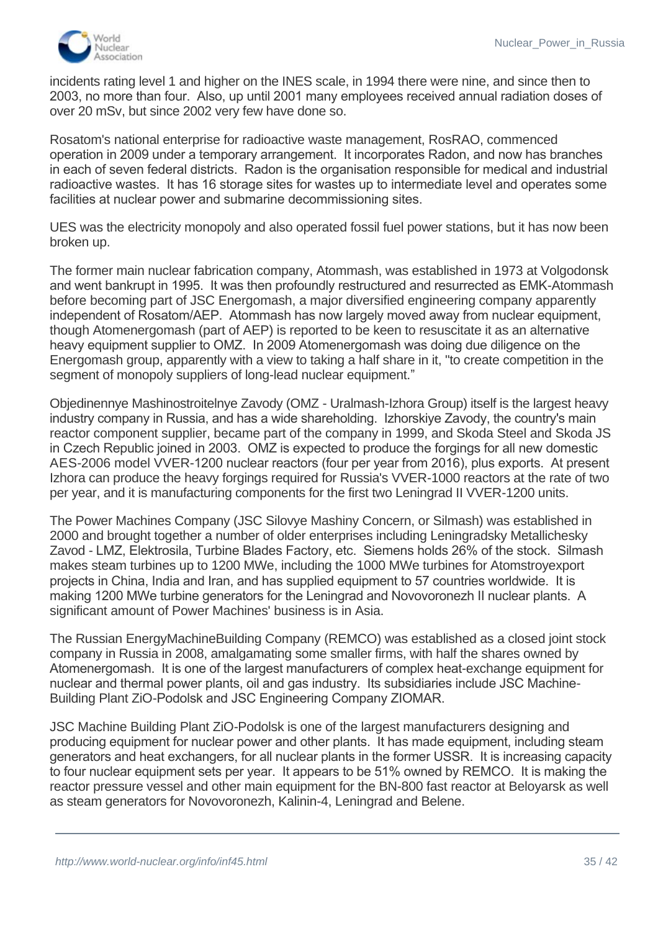

incidents rating level 1 and higher on the INES scale, in 1994 there were nine, and since then to 2003, no more than four. Also, up until 2001 many employees received annual radiation doses of over 20 mSv, but since 2002 very few have done so.

Rosatom's national enterprise for radioactive waste management, RosRAO, commenced operation in 2009 under a temporary arrangement. It incorporates Radon, and now has branches in each of seven federal districts. Radon is the organisation responsible for medical and industrial radioactive wastes. It has 16 storage sites for wastes up to intermediate level and operates some facilities at nuclear power and submarine decommissioning sites.

UES was the electricity monopoly and also operated fossil fuel power stations, but it has now been broken up.

The former main nuclear fabrication company, Atommash, was established in 1973 at Volgodonsk and went bankrupt in 1995. It was then profoundly restructured and resurrected as EMK-Atommash before becoming part of JSC Energomash, a major diversified engineering company apparently independent of Rosatom/AEP. Atommash has now largely moved away from nuclear equipment, though Atomenergomash (part of AEP) is reported to be keen to resuscitate it as an alternative heavy equipment supplier to OMZ. In 2009 Atomenergomash was doing due diligence on the Energomash group, apparently with a view to taking a half share in it, "to create competition in the segment of monopoly suppliers of long-lead nuclear equipment."

Objedinennye Mashinostroitelnye Zavody (OMZ - Uralmash-Izhora Group) itself is the largest heavy industry company in Russia, and has a wide shareholding. Izhorskiye Zavody, the country's main reactor component supplier, became part of the company in 1999, and Skoda Steel and Skoda JS in Czech Republic joined in 2003. OMZ is expected to produce the forgings for all new domestic AES-2006 model VVER-1200 nuclear reactors (four per year from 2016), plus exports. At present Izhora can produce the heavy forgings required for Russia's VVER-1000 reactors at the rate of two per year, and it is manufacturing components for the first two Leningrad II VVER-1200 units.

The Power Machines Company (JSC Silovye Mashiny Concern, or Silmash) was established in 2000 and brought together a number of older enterprises including Leningradsky Metallichesky Zavod - LMZ, Elektrosila, Turbine Blades Factory, etc. Siemens holds 26% of the stock. Silmash makes steam turbines up to 1200 MWe, including the 1000 MWe turbines for Atomstroyexport projects in China, India and Iran, and has supplied equipment to 57 countries worldwide. It is making 1200 MWe turbine generators for the Leningrad and Novovoronezh II nuclear plants. A significant amount of Power Machines' business is in Asia.

The Russian EnergyMachineBuilding Company (REMCO) was established as a closed joint stock company in Russia in 2008, amalgamating some smaller firms, with half the shares owned by Atomenergomash. It is one of the largest manufacturers of complex heat-exchange equipment for nuclear and thermal power plants, oil and gas industry. Its subsidiaries include JSC Machine-Building Plant ZiO-Podolsk and JSC Engineering Company ZIOMAR.

JSC Machine Building Plant ZiO-Podolsk is one of the largest manufacturers designing and producing equipment for nuclear power and other plants. It has made equipment, including steam generators and heat exchangers, for all nuclear plants in the former USSR. It is increasing capacity to four nuclear equipment sets per year. It appears to be 51% owned by REMCO. It is making the reactor pressure vessel and other main equipment for the BN-800 fast reactor at Beloyarsk as well as steam generators for Novovoronezh, Kalinin-4, Leningrad and Belene.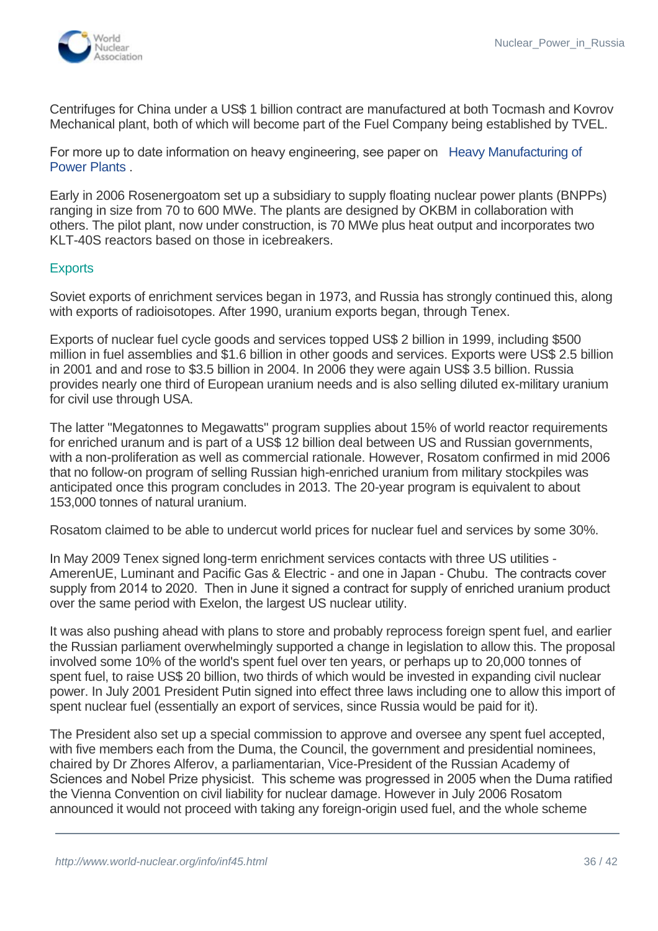

Centrifuges for China under a US\$ 1 billion contract are manufactured at both Tocmash and Kovrov Mechanical plant, both of which will become part of the Fuel Company being established by TVEL.

[For more up to date information on heavy engineering, see paper on](http://www.world-nuclear.org/info/inf122_heavy_manufacturing_of_power_plants.html) Heavy Manufacturing of Power Plants .

Early in 2006 Rosenergoatom set up a subsidiary to supply floating nuclear power plants (BNPPs) ranging in size from 70 to 600 MWe. The plants are designed by OKBM in collaboration with others. The pilot plant, now under construction, is 70 MWe plus heat output and incorporates two KLT-40S reactors based on those in icebreakers.

#### <span id="page-35-0"></span>**Exports**

Soviet exports of enrichment services began in 1973, and Russia has strongly continued this, along with exports of radioisotopes. After 1990, uranium exports began, through Tenex.

Exports of nuclear fuel cycle goods and services topped US\$ 2 billion in 1999, including \$500 million in fuel assemblies and \$1.6 billion in other goods and services. Exports were US\$ 2.5 billion in 2001 and and rose to \$3.5 billion in 2004. In 2006 they were again US\$ 3.5 billion. Russia provides nearly one third of European uranium needs and is also selling diluted ex-military uranium for civil use through USA.

The latter "Megatonnes to Megawatts" program supplies about 15% of world reactor requirements for enriched uranum and is part of a US\$ 12 billion deal between US and Russian governments, with a non-proliferation as well as commercial rationale. However, Rosatom confirmed in mid 2006 that no follow-on program of selling Russian high-enriched uranium from military stockpiles was anticipated once this program concludes in 2013. The 20-year program is equivalent to about 153,000 tonnes of natural uranium.

Rosatom claimed to be able to undercut world prices for nuclear fuel and services by some 30%.

In May 2009 Tenex signed long-term enrichment services contacts with three US utilities - AmerenUE, Luminant and Pacific Gas & Electric - and one in Japan - Chubu. The contracts cover supply from 2014 to 2020. Then in June it signed a contract for supply of enriched uranium product over the same period with Exelon, the largest US nuclear utility.

It was also pushing ahead with plans to store and probably reprocess foreign spent fuel, and earlier the Russian parliament overwhelmingly supported a change in legislation to allow this. The proposal involved some 10% of the world's spent fuel over ten years, or perhaps up to 20,000 tonnes of spent fuel, to raise US\$ 20 billion, two thirds of which would be invested in expanding civil nuclear power. In July 2001 President Putin signed into effect three laws including one to allow this import of spent nuclear fuel (essentially an export of services, since Russia would be paid for it).

The President also set up a special commission to approve and oversee any spent fuel accepted, with five members each from the Duma, the Council, the government and presidential nominees, chaired by Dr Zhores Alferov, a parliamentarian, Vice-President of the Russian Academy of Sciences and Nobel Prize physicist. This scheme was progressed in 2005 when the Duma ratified the Vienna Convention on civil liability for nuclear damage. However in July 2006 Rosatom announced it would not proceed with taking any foreign-origin used fuel, and the whole scheme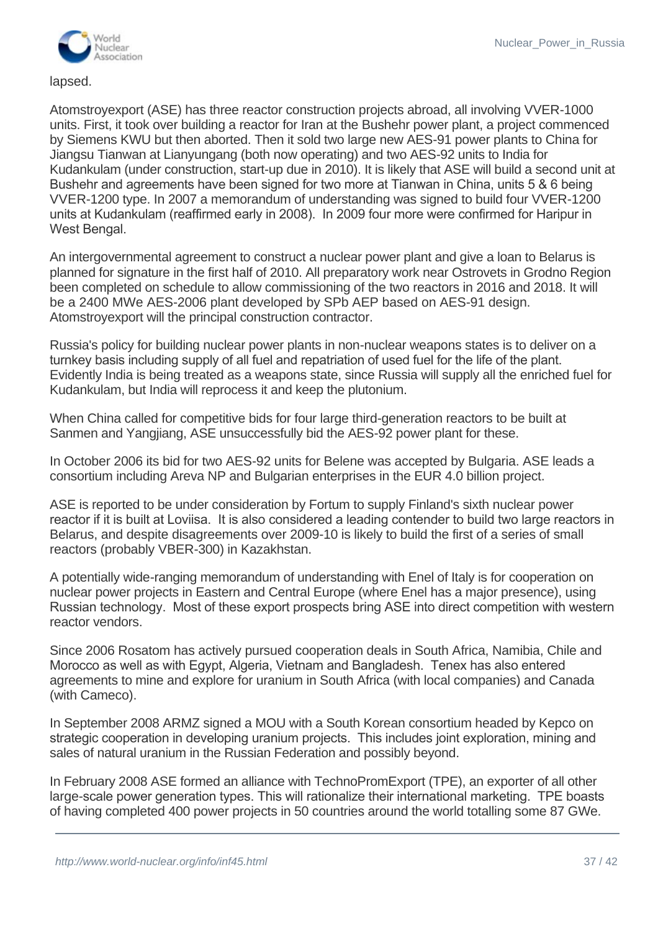

lapsed.

Atomstroyexport (ASE) has three reactor construction projects abroad, all involving VVER-1000 units. First, it took over building a reactor for Iran at the Bushehr power plant, a project commenced by Siemens KWU but then aborted. Then it sold two large new AES-91 power plants to China for Jiangsu Tianwan at Lianyungang (both now operating) and two AES-92 units to India for Kudankulam (under construction, start-up due in 2010). It is likely that ASE will build a second unit at Bushehr and agreements have been signed for two more at Tianwan in China, units 5 & 6 being VVER-1200 type. In 2007 a memorandum of understanding was signed to build four VVER-1200 units at Kudankulam (reaffirmed early in 2008). In 2009 four more were confirmed for Haripur in West Bengal.

An intergovernmental agreement to construct a nuclear power plant and give a loan to Belarus is planned for signature in the first half of 2010. All preparatory work near Ostrovets in Grodno Region been completed on schedule to allow commissioning of the two reactors in 2016 and 2018. It will be a 2400 MWe AES-2006 plant developed by SPb AEP based on AES-91 design. Atomstroyexport will the principal construction contractor.

Russia's policy for building nuclear power plants in non-nuclear weapons states is to deliver on a turnkey basis including supply of all fuel and repatriation of used fuel for the life of the plant. Evidently India is being treated as a weapons state, since Russia will supply all the enriched fuel for Kudankulam, but India will reprocess it and keep the plutonium.

When China called for competitive bids for four large third-generation reactors to be built at Sanmen and Yangjiang, ASE unsuccessfully bid the AES-92 power plant for these.

In October 2006 its bid for two AES-92 units for Belene was accepted by Bulgaria. ASE leads a consortium including Areva NP and Bulgarian enterprises in the EUR 4.0 billion project.

ASE is reported to be under consideration by Fortum to supply Finland's sixth nuclear power reactor if it is built at Loviisa. It is also considered a leading contender to build two large reactors in Belarus, and despite disagreements over 2009-10 is likely to build the first of a series of small reactors (probably VBER-300) in Kazakhstan.

A potentially wide-ranging memorandum of understanding with Enel of Italy is for cooperation on nuclear power projects in Eastern and Central Europe (where Enel has a major presence), using Russian technology. Most of these export prospects bring ASE into direct competition with western reactor vendors.

Since 2006 Rosatom has actively pursued cooperation deals in South Africa, Namibia, Chile and Morocco as well as with Egypt, Algeria, Vietnam and Bangladesh. Tenex has also entered agreements to mine and explore for uranium in South Africa (with local companies) and Canada (with Cameco).

In September 2008 ARMZ signed a MOU with a South Korean consortium headed by Kepco on strategic cooperation in developing uranium projects. This includes joint exploration, mining and sales of natural uranium in the Russian Federation and possibly beyond.

In February 2008 ASE formed an alliance with TechnoPromExport (TPE), an exporter of all other large-scale power generation types. This will rationalize their international marketing. TPE boasts of having completed 400 power projects in 50 countries around the world totalling some 87 GWe.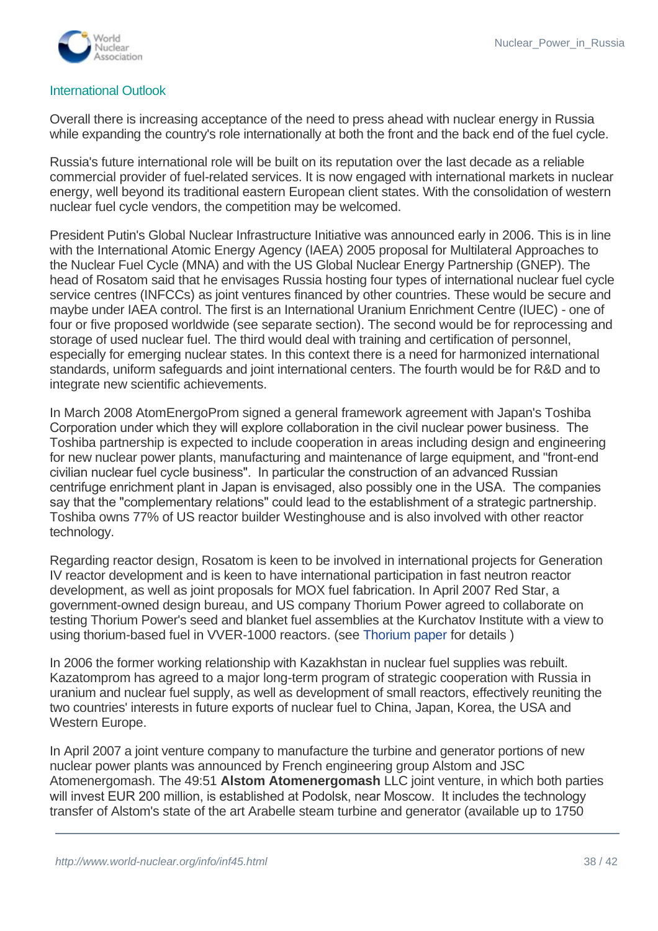

# International Outlook

Overall there is increasing acceptance of the need to press ahead with nuclear energy in Russia while expanding the country's role internationally at both the front and the back end of the fuel cycle.

Russia's future international role will be built on its reputation over the last decade as a reliable commercial provider of fuel-related services. It is now engaged with international markets in nuclear energy, well beyond its traditional eastern European client states. With the consolidation of western nuclear fuel cycle vendors, the competition may be welcomed.

President Putin's Global Nuclear Infrastructure Initiative was announced early in 2006. This is in line with the International Atomic Energy Agency (IAEA) 2005 proposal for Multilateral Approaches to the Nuclear Fuel Cycle (MNA) and with the US Global Nuclear Energy Partnership (GNEP). The head of Rosatom said that he envisages Russia hosting four types of international nuclear fuel cycle service centres (INFCCs) as joint ventures financed by other countries. These would be secure and maybe under IAEA control. The first is an International Uranium Enrichment Centre (IUEC) - one of four or five proposed worldwide (see separate section). The second would be for reprocessing and storage of used nuclear fuel. The third would deal with training and certification of personnel, especially for emerging nuclear states. In this context there is a need for harmonized international standards, uniform safeguards and joint international centers. The fourth would be for R&D and to integrate new scientific achievements.

In March 2008 AtomEnergoProm signed a general framework agreement with Japan's Toshiba Corporation under which they will explore collaboration in the civil nuclear power business. The Toshiba partnership is expected to include cooperation in areas including design and engineering for new nuclear power plants, manufacturing and maintenance of large equipment, and "front-end" civilian nuclear fuel cycle business". In particular the construction of an advanced Russian centrifuge enrichment plant in Japan is envisaged, also possibly one in the USA. The companies say that the "complementary relations" could lead to the establishment of a strategic partnership. Toshiba owns 77% of US reactor builder Westinghouse and is also involved with other reactor technology.

Regarding reactor design, Rosatom is keen to be involved in international projects for Generation IV reactor development and is keen to have international participation in fast neutron reactor development, as well as joint proposals for MOX fuel fabrication. In April 2007 Red Star, a government-owned design bureau, and US company Thorium Power agreed to collaborate on testing Thorium Power's seed and blanket fuel assemblies at the Kurchatov Institute with a view to using thorium-based fuel in VVER-1000 reactors. (see [Thorium paper](http://www.world-nuclear.org/info/inf62.html) for details )

In 2006 the former working relationship with Kazakhstan in nuclear fuel supplies was rebuilt. Kazatomprom has agreed to a major long-term program of strategic cooperation with Russia in uranium and nuclear fuel supply, as well as development of small reactors, effectively reuniting the two countries' interests in future exports of nuclear fuel to China, Japan, Korea, the USA and Western Europe.

In April 2007 a joint venture company to manufacture the turbine and generator portions of new nuclear power plants was announced by French engineering group Alstom and JSC Atomenergomash. The 49:51 **Alstom Atomenergomash** LLC joint venture, in which both parties will invest EUR 200 million, is established at Podolsk, near Moscow. It includes the technology transfer of Alstom's state of the art Arabelle steam turbine and generator (available up to 1750

MWe). First production is expected in 2011 with output reaching three 1200 Me turbine and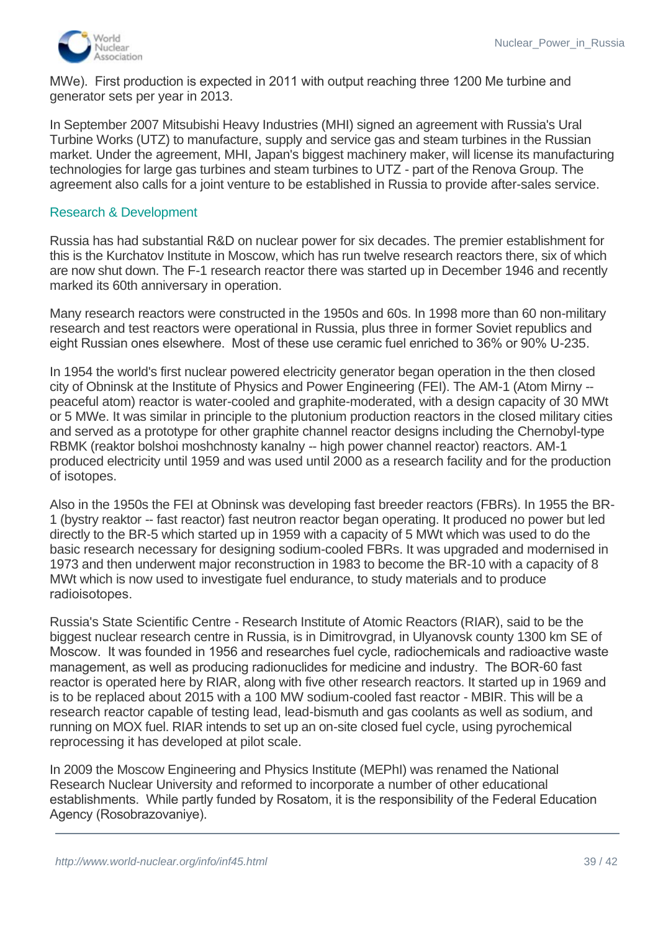

MWe). First production is expected in 2011 with output reaching three 1200 Me turbine and generator sets per year in 2013.

In September 2007 Mitsubishi Heavy Industries (MHI) signed an agreement with Russia's Ural Turbine Works (UTZ) to manufacture, supply and service gas and steam turbines in the Russian market. Under the agreement, MHI, Japan's biggest machinery maker, will license its manufacturing technologies for large gas turbines and steam turbines to UTZ - part of the Renova Group. The agreement also calls for a joint venture to be established in Russia to provide after-sales service.

#### Research & Development

Russia has had substantial R&D on nuclear power for six decades. The premier establishment for this is the Kurchatov Institute in Moscow, which has run twelve research reactors there, six of which are now shut down. The F-1 research reactor there was started up in December 1946 and recently marked its 60th anniversary in operation.

Many research reactors were constructed in the 1950s and 60s. In 1998 more than 60 non-military research and test reactors were operational in Russia, plus three in former Soviet republics and eight Russian ones elsewhere. Most of these use ceramic fuel enriched to 36% or 90% U-235.

In 1954 the world's first nuclear powered electricity generator began operation in the then closed city of Obninsk at the Institute of Physics and Power Engineering (FEI). The AM-1 (Atom Mirny - peaceful atom) reactor is water-cooled and graphite-moderated, with a design capacity of 30 MWt or 5 MWe. It was similar in principle to the plutonium production reactors in the closed military cities and served as a prototype for other graphite channel reactor designs including the Chernobyl-type RBMK (reaktor bolshoi moshchnosty kanalny -- high power channel reactor) reactors. AM-1 produced electricity until 1959 and was used until 2000 as a research facility and for the production of isotopes.

Also in the 1950s the FEI at Obninsk was developing fast breeder reactors (FBRs). In 1955 the BR-1 (bystry reaktor -- fast reactor) fast neutron reactor began operating. It produced no power but led directly to the BR-5 which started up in 1959 with a capacity of 5 MWt which was used to do the basic research necessary for designing sodium-cooled FBRs. It was upgraded and modernised in 1973 and then underwent major reconstruction in 1983 to become the BR-10 with a capacity of 8 MWt which is now used to investigate fuel endurance, to study materials and to produce radioisotopes.

Russia's State Scientific Centre - Research Institute of Atomic Reactors (RIAR), said to be the biggest nuclear research centre in Russia, is in Dimitrovgrad, in Ulyanovsk county 1300 km SE of Moscow. It was founded in 1956 and researches fuel cycle, radiochemicals and radioactive waste management, as well as producing radionuclides for medicine and industry. The BOR-60 fast reactor is operated here by RIAR, along with five other research reactors. It started up in 1969 and is to be replaced about 2015 with a 100 MW sodium-cooled fast reactor - MBIR. This will be a research reactor capable of testing lead, lead-bismuth and gas coolants as well as sodium, and running on MOX fuel. RIAR intends to set up an on-site closed fuel cycle, using pyrochemical reprocessing it has developed at pilot scale.

In 2009 the Moscow Engineering and Physics Institute (MEPhI) was renamed the National Research Nuclear University and reformed to incorporate a number of other educational establishments. While partly funded by Rosatom, it is the responsibility of the Federal Education Agency (Rosobrazovaniye).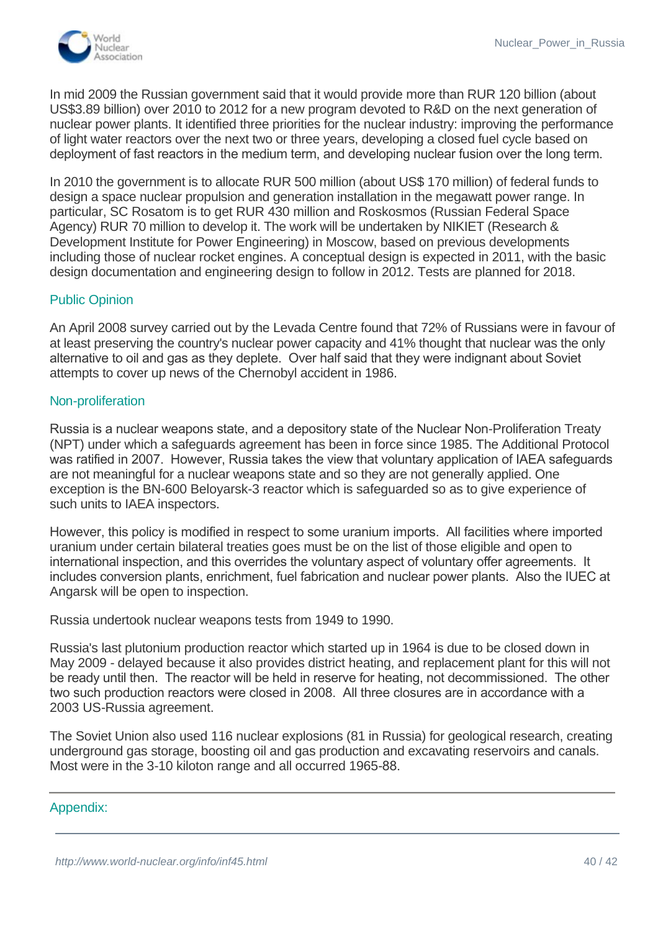

In mid 2009 the Russian government said that it would provide more than RUR 120 billion (about US\$3.89 billion) over 2010 to 2012 for a new program devoted to R&D on the next generation of nuclear power plants. It identified three priorities for the nuclear industry: improving the performance of light water reactors over the next two or three years, developing a closed fuel cycle based on deployment of fast reactors in the medium term, and developing nuclear fusion over the long term.

In 2010 the government is to allocate RUR 500 million (about US\$ 170 million) of federal funds to design a space nuclear propulsion and generation installation in the megawatt power range. In particular, SC Rosatom is to get RUR 430 million and Roskosmos (Russian Federal Space Agency) RUR 70 million to develop it. The work will be undertaken by NIKIET (Research & Development Institute for Power Engineering) in Moscow, based on previous developments including those of nuclear rocket engines. A conceptual design is expected in 2011, with the basic design documentation and engineering design to follow in 2012. Tests are planned for 2018.

#### Public Opinion

An April 2008 survey carried out by the Levada Centre found that 72% of Russians were in favour of at least preserving the country's nuclear power capacity and 41% thought that nuclear was the only alternative to oil and gas as they deplete. Over half said that they were indignant about Soviet attempts to cover up news of the Chernobyl accident in 1986.

#### Non-proliferation

Russia is a nuclear weapons state, and a depository state of the Nuclear Non-Proliferation Treaty (NPT) under which a safeguards agreement has been in force since 1985. The Additional Protocol was ratified in 2007. However, Russia takes the view that voluntary application of IAEA safeguards are not meaningful for a nuclear weapons state and so they are not generally applied. One exception is the BN-600 Beloyarsk-3 reactor which is safeguarded so as to give experience of such units to IAEA inspectors.

However, this policy is modified in respect to some uranium imports. All facilities where imported uranium under certain bilateral treaties goes must be on the list of those eligible and open to international inspection, and this overrides the voluntary aspect of voluntary offer agreements. It includes conversion plants, enrichment, fuel fabrication and nuclear power plants. Also the IUEC at Angarsk will be open to inspection.

Russia undertook nuclear weapons tests from 1949 to 1990.

Russia's last plutonium production reactor which started up in 1964 is due to be closed down in May 2009 - delayed because it also provides district heating, and replacement plant for this will not be ready until then. The reactor will be held in reserve for heating, not decommissioned. The other two such production reactors were closed in 2008. All three closures are in accordance with a 2003 US-Russia agreement.

The Soviet Union also used 116 nuclear explosions (81 in Russia) for geological research, creating underground gas storage, boosting oil and gas production and excavating reservoirs and canals. Most were in the 3-10 kiloton range and all occurred 1965-88.

#### Appendix:

Background: Soviet nuclear culture nuclear culture of the society of the society of the society of the society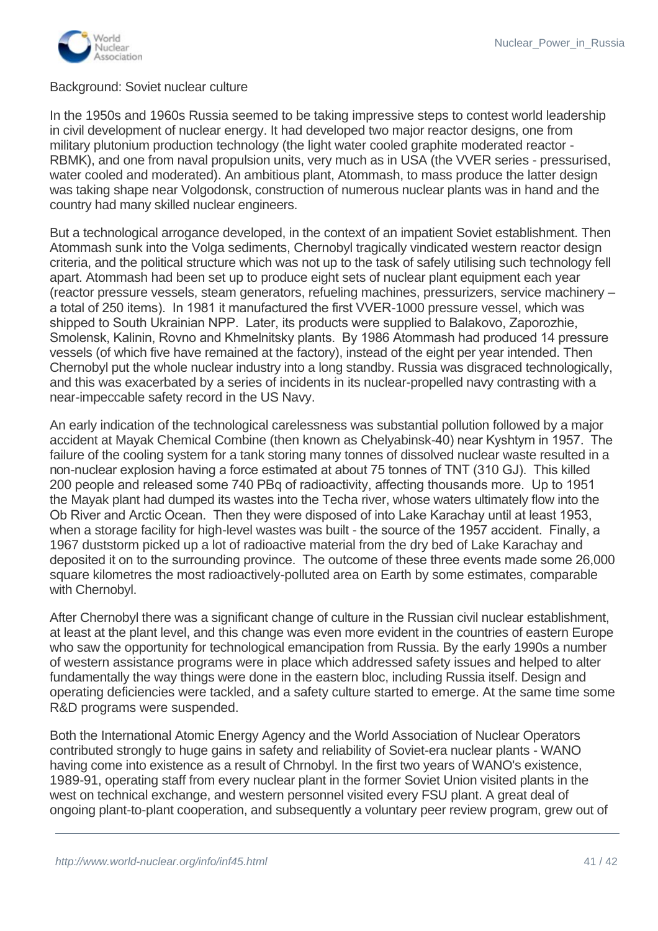

#### <span id="page-40-0"></span>Background: Soviet nuclear culture

In the 1950s and 1960s Russia seemed to be taking impressive steps to contest world leadership in civil development of nuclear energy. It had developed two major reactor designs, one from military plutonium production technology (the light water cooled graphite moderated reactor - RBMK), and one from naval propulsion units, very much as in USA (the VVER series - pressurised, water cooled and moderated). An ambitious plant, Atommash, to mass produce the latter design was taking shape near Volgodonsk, construction of numerous nuclear plants was in hand and the country had many skilled nuclear engineers.

But a technological arrogance developed, in the context of an impatient Soviet establishment. Then Atommash sunk into the Volga sediments, Chernobyl tragically vindicated western reactor design criteria, and the political structure which was not up to the task of safely utilising such technology fell apart. Atommash had been set up to produce eight sets of nuclear plant equipment each year (reactor pressure vessels, steam generators, refueling machines, pressurizers, service machinery – a total of 250 items). In 1981 it manufactured the first VVER-1000 pressure vessel, which was shipped to South Ukrainian NPP. Later, its products were supplied to Balakovo, Zaporozhie, Smolensk, Kalinin, Rovno and Khmelnitsky plants. By 1986 Atommash had produced 14 pressure vessels (of which five have remained at the factory), instead of the eight per year intended. Then Chernobyl put the whole nuclear industry into a long standby. Russia was disgraced technologically, and this was exacerbated by a series of incidents in its nuclear-propelled navy contrasting with a near-impeccable safety record in the US Navy.

An early indication of the technological carelessness was substantial pollution followed by a major accident at Mayak Chemical Combine (then known as Chelyabinsk-40) near Kyshtym in 1957. The failure of the cooling system for a tank storing many tonnes of dissolved nuclear waste resulted in a non-nuclear explosion having a force estimated at about 75 tonnes of TNT (310 GJ). This killed 200 people and released some 740 PBq of radioactivity, affecting thousands more. Up to 1951 the Mayak plant had dumped its wastes into the Techa river, whose waters ultimately flow into the Ob River and Arctic Ocean. Then they were disposed of into Lake Karachay until at least 1953, when a storage facility for high-level wastes was built - the source of the 1957 accident. Finally, a 1967 duststorm picked up a lot of radioactive material from the dry bed of Lake Karachay and deposited it on to the surrounding province. The outcome of these three events made some 26,000 square kilometres the most radioactively-polluted area on Earth by some estimates, comparable with Chernobyl.

After Chernobyl there was a significant change of culture in the Russian civil nuclear establishment, at least at the plant level, and this change was even more evident in the countries of eastern Europe who saw the opportunity for technological emancipation from Russia. By the early 1990s a number of western assistance programs were in place which addressed safety issues and helped to alter fundamentally the way things were done in the eastern bloc, including Russia itself. Design and operating deficiencies were tackled, and a safety culture started to emerge. At the same time some R&D programs were suspended.

Both the International Atomic Energy Agency and the World Association of Nuclear Operators contributed strongly to huge gains in safety and reliability of Soviet-era nuclear plants - WANO having come into existence as a result of Chrnobyl. In the first two years of WANO's existence, 1989-91, operating staff from every nuclear plant in the former Soviet Union visited plants in the west on technical exchange, and western personnel visited every FSU plant. A great deal of ongoing plant-to-plant cooperation, and subsequently a voluntary peer review program, grew out of